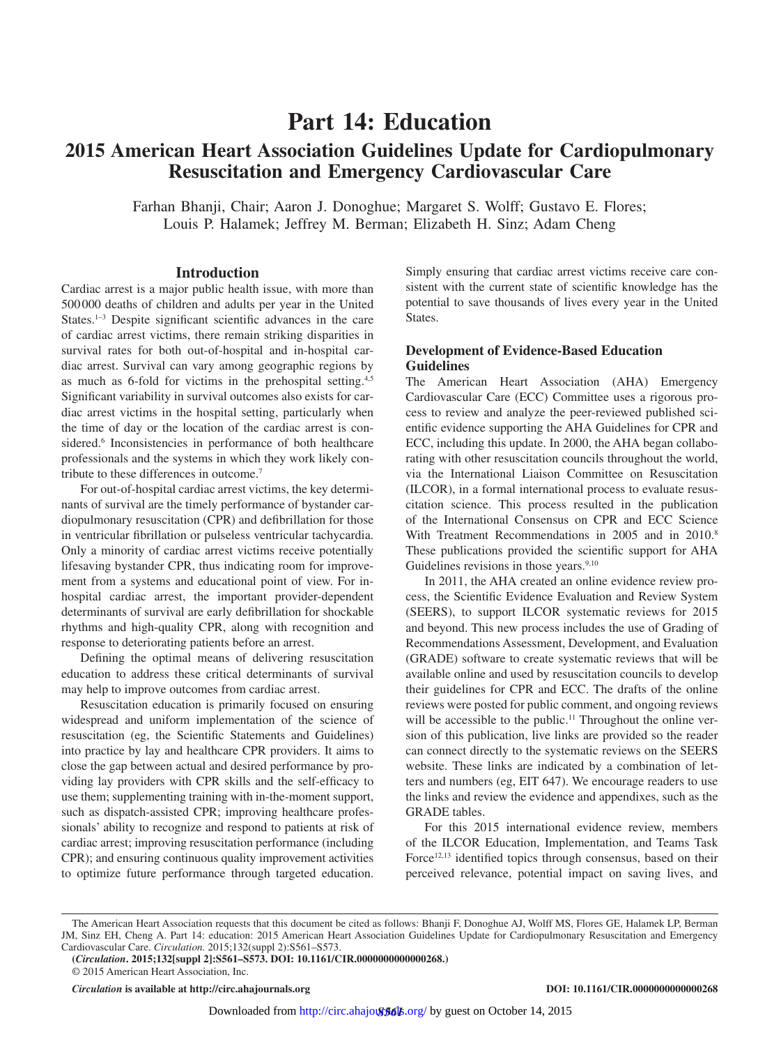# **Part 14: Education**

# **2015 American Heart Association Guidelines Update for Cardiopulmonary Resuscitation and Emergency Cardiovascular Care**

Farhan Bhanji, Chair; Aaron J. Donoghue; Margaret S. Wolff; Gustavo E. Flores; Louis P. Halamek; Jeffrey M. Berman; Elizabeth H. Sinz; Adam Cheng

#### **Introduction**

Cardiac arrest is a major public health issue, with more than 500000 deaths of children and adults per year in the United States.<sup>1-3</sup> Despite significant scientific advances in the care of cardiac arrest victims, there remain striking disparities in survival rates for both out-of-hospital and in-hospital cardiac arrest. Survival can vary among geographic regions by as much as 6-fold for victims in the prehospital setting.<sup>4,5</sup> Significant variability in survival outcomes also exists for cardiac arrest victims in the hospital setting, particularly when the time of day or the location of the cardiac arrest is considered.<sup>6</sup> Inconsistencies in performance of both healthcare professionals and the systems in which they work likely contribute to these differences in outcome.7

For out-of-hospital cardiac arrest victims, the key determinants of survival are the timely performance of bystander cardiopulmonary resuscitation (CPR) and defibrillation for those in ventricular fibrillation or pulseless ventricular tachycardia. Only a minority of cardiac arrest victims receive potentially lifesaving bystander CPR, thus indicating room for improvement from a systems and educational point of view. For inhospital cardiac arrest, the important provider-dependent determinants of survival are early defibrillation for shockable rhythms and high-quality CPR, along with recognition and response to deteriorating patients before an arrest.

Defining the optimal means of delivering resuscitation education to address these critical determinants of survival may help to improve outcomes from cardiac arrest.

Resuscitation education is primarily focused on ensuring widespread and uniform implementation of the science of resuscitation (eg, the Scientific Statements and Guidelines) into practice by lay and healthcare CPR providers. It aims to close the gap between actual and desired performance by providing lay providers with CPR skills and the self-efficacy to use them; supplementing training with in-the-moment support, such as dispatch-assisted CPR; improving healthcare professionals' ability to recognize and respond to patients at risk of cardiac arrest; improving resuscitation performance (including CPR); and ensuring continuous quality improvement activities to optimize future performance through targeted education. Simply ensuring that cardiac arrest victims receive care consistent with the current state of scientific knowledge has the potential to save thousands of lives every year in the United States.

## **Development of Evidence-Based Education Guidelines**

The American Heart Association (AHA) Emergency Cardiovascular Care (ECC) Committee uses a rigorous process to review and analyze the peer-reviewed published scientific evidence supporting the AHA Guidelines for CPR and ECC, including this update. In 2000, the AHA began collaborating with other resuscitation councils throughout the world, via the International Liaison Committee on Resuscitation (ILCOR), in a formal international process to evaluate resuscitation science. This process resulted in the publication of the International Consensus on CPR and ECC Science With Treatment Recommendations in 2005 and in 2010.<sup>8</sup> These publications provided the scientific support for AHA Guidelines revisions in those years.<sup>9,10</sup>

In 2011, the AHA created an online evidence review process, the Scientific Evidence Evaluation and Review System (SEERS), to support ILCOR systematic reviews for 2015 and beyond. This new process includes the use of Grading of Recommendations Assessment, Development, and Evaluation (GRADE) software to create systematic reviews that will be available online and used by resuscitation councils to develop their guidelines for CPR and ECC. The drafts of the online reviews were posted for public comment, and ongoing reviews will be accessible to the public.<sup>11</sup> Throughout the online version of this publication, live links are provided so the reader can connect directly to the systematic reviews on the SEERS website. These links are indicated by a combination of letters and numbers (eg, EIT 647). We encourage readers to use the links and review the evidence and appendixes, such as the GRADE tables.

For this 2015 international evidence review, members of the ILCOR Education, Implementation, and Teams Task Force<sup>12,13</sup> identified topics through consensus, based on their perceived relevance, potential impact on saving lives, and

The American Heart Association requests that this document be cited as follows: Bhanji F, Donoghue AJ, Wolff MS, Flores GE, Halamek LP, Berman JM, Sinz EH, Cheng A. Part 14: education: 2015 American Heart Association Guidelines Update for Cardiopulmonary Resuscitation and Emergency Cardiovascular Care. *Circulation.* 2015;132(suppl 2):S561–S573.

**<sup>(</sup>***Circulation***. 2015;132[suppl 2]:S561–S573. DOI: 10.1161/CIR.0000000000000268.)**

<sup>© 2015</sup> American Heart Association, Inc.

*Circulation* **is available at http://circ.ahajournals.org DOI: 10.1161/CIR.0000000000000268**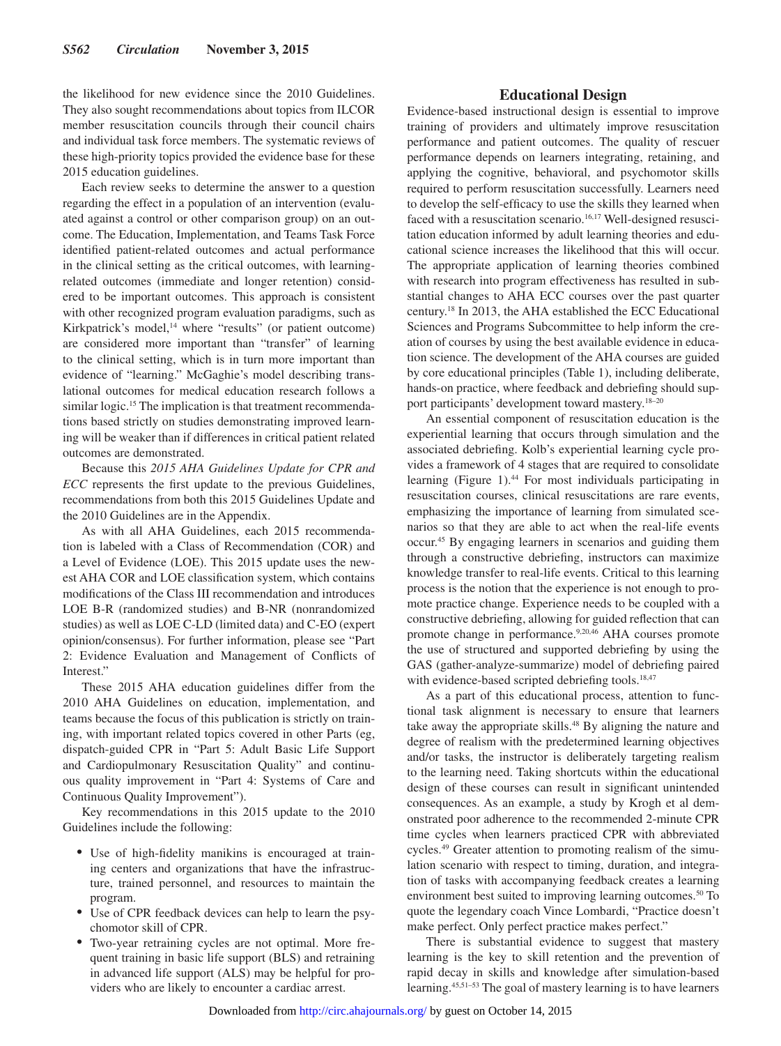the likelihood for new evidence since the 2010 Guidelines. They also sought recommendations about topics from ILCOR member resuscitation councils through their council chairs and individual task force members. The systematic reviews of these high-priority topics provided the evidence base for these 2015 education guidelines.

Each review seeks to determine the answer to a question regarding the effect in a population of an intervention (evaluated against a control or other comparison group) on an outcome. The Education, Implementation, and Teams Task Force identified patient-related outcomes and actual performance in the clinical setting as the critical outcomes, with learningrelated outcomes (immediate and longer retention) considered to be important outcomes. This approach is consistent with other recognized program evaluation paradigms, such as Kirkpatrick's model,<sup>14</sup> where "results" (or patient outcome) are considered more important than "transfer" of learning to the clinical setting, which is in turn more important than evidence of "learning." McGaghie's model describing translational outcomes for medical education research follows a similar logic.<sup>15</sup> The implication is that treatment recommendations based strictly on studies demonstrating improved learning will be weaker than if differences in critical patient related outcomes are demonstrated.

Because this *2015 AHA Guidelines Update for CPR and ECC* represents the first update to the previous Guidelines, recommendations from both this 2015 Guidelines Update and the 2010 Guidelines are in the Appendix.

As with all AHA Guidelines, each 2015 recommendation is labeled with a Class of Recommendation (COR) and a Level of Evidence (LOE). This 2015 update uses the newest AHA COR and LOE classification system, which contains modifications of the Class III recommendation and introduces LOE B-R (randomized studies) and B-NR (nonrandomized studies) as well as LOE C-LD (limited data) and C-EO (expert opinion/consensus). For further information, please see "Part 2: Evidence Evaluation and Management of Conflicts of Interest."

These 2015 AHA education guidelines differ from the 2010 AHA Guidelines on education, implementation, and teams because the focus of this publication is strictly on training, with important related topics covered in other Parts (eg, dispatch-guided CPR in "Part 5: Adult Basic Life Support and Cardiopulmonary Resuscitation Quality" and continuous quality improvement in "Part 4: Systems of Care and Continuous Quality Improvement").

Key recommendations in this 2015 update to the 2010 Guidelines include the following:

- Use of high-fidelity manikins is encouraged at training centers and organizations that have the infrastructure, trained personnel, and resources to maintain the program.
- Use of CPR feedback devices can help to learn the psychomotor skill of CPR.
- Two-year retraining cycles are not optimal. More frequent training in basic life support (BLS) and retraining in advanced life support (ALS) may be helpful for providers who are likely to encounter a cardiac arrest.

## **Educational Design**

Evidence-based instructional design is essential to improve training of providers and ultimately improve resuscitation performance and patient outcomes. The quality of rescuer performance depends on learners integrating, retaining, and applying the cognitive, behavioral, and psychomotor skills required to perform resuscitation successfully. Learners need to develop the self-efficacy to use the skills they learned when faced with a resuscitation scenario.<sup>16,17</sup> Well-designed resuscitation education informed by adult learning theories and educational science increases the likelihood that this will occur. The appropriate application of learning theories combined with research into program effectiveness has resulted in substantial changes to AHA ECC courses over the past quarter century.18 In 2013, the AHA established the ECC Educational Sciences and Programs Subcommittee to help inform the creation of courses by using the best available evidence in education science. The development of the AHA courses are guided by core educational principles (Table 1), including deliberate, hands-on practice, where feedback and debriefing should support participants' development toward mastery.18–20

An essential component of resuscitation education is the experiential learning that occurs through simulation and the associated debriefing. Kolb's experiential learning cycle provides a framework of 4 stages that are required to consolidate learning (Figure 1).44 For most individuals participating in resuscitation courses, clinical resuscitations are rare events, emphasizing the importance of learning from simulated scenarios so that they are able to act when the real-life events occur.45 By engaging learners in scenarios and guiding them through a constructive debriefing, instructors can maximize knowledge transfer to real-life events. Critical to this learning process is the notion that the experience is not enough to promote practice change. Experience needs to be coupled with a constructive debriefing, allowing for guided reflection that can promote change in performance.9,20,46 AHA courses promote the use of structured and supported debriefing by using the GAS (gather-analyze-summarize) model of debriefing paired with evidence-based scripted debriefing tools.<sup>18,47</sup>

As a part of this educational process, attention to functional task alignment is necessary to ensure that learners take away the appropriate skills.<sup>48</sup> By aligning the nature and degree of realism with the predetermined learning objectives and/or tasks, the instructor is deliberately targeting realism to the learning need. Taking shortcuts within the educational design of these courses can result in significant unintended consequences. As an example, a study by Krogh et al demonstrated poor adherence to the recommended 2-minute CPR time cycles when learners practiced CPR with abbreviated cycles.49 Greater attention to promoting realism of the simulation scenario with respect to timing, duration, and integration of tasks with accompanying feedback creates a learning environment best suited to improving learning outcomes.<sup>50</sup> To quote the legendary coach Vince Lombardi, "Practice doesn't make perfect. Only perfect practice makes perfect."

There is substantial evidence to suggest that mastery learning is the key to skill retention and the prevention of rapid decay in skills and knowledge after simulation-based learning.45,51–53 The goal of mastery learning is to have learners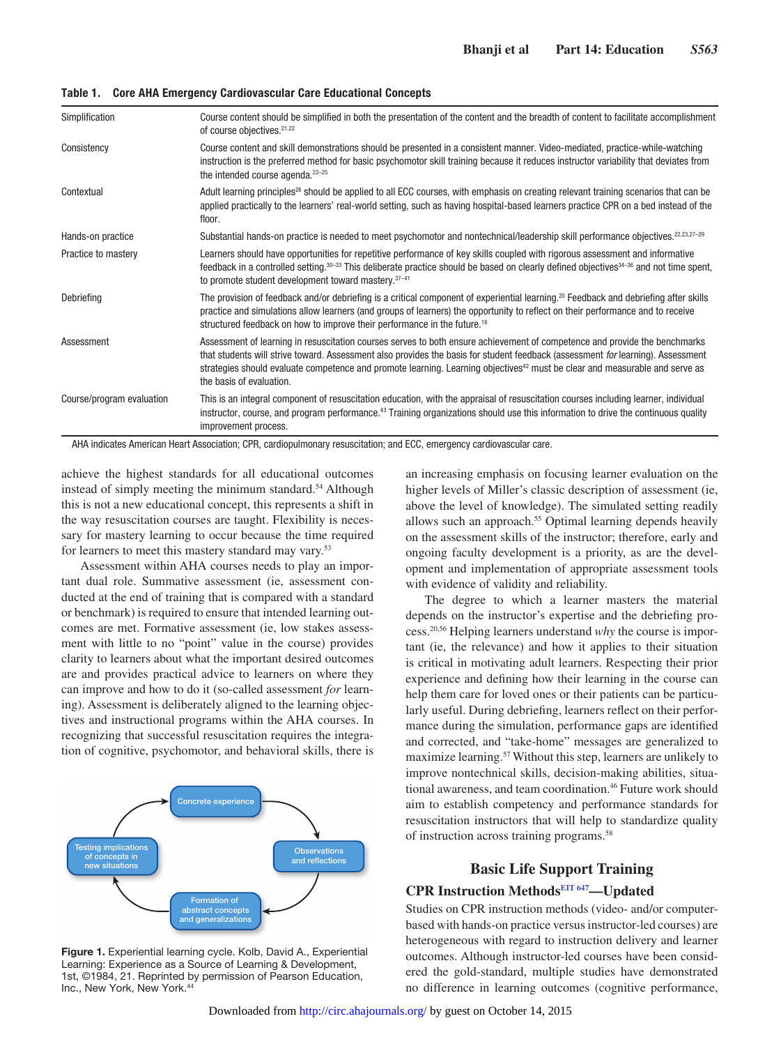| Course content should be simplified in both the presentation of the content and the breadth of content to facilitate accomplishment<br>of course objectives. <sup>21,22</sup>                                                                                                                                                                                                                                                        |
|--------------------------------------------------------------------------------------------------------------------------------------------------------------------------------------------------------------------------------------------------------------------------------------------------------------------------------------------------------------------------------------------------------------------------------------|
| Course content and skill demonstrations should be presented in a consistent manner. Video-mediated, practice-while-watching<br>instruction is the preferred method for basic psychomotor skill training because it reduces instructor variability that deviates from<br>the intended course agenda. <sup>22-25</sup>                                                                                                                 |
| Adult learning principles <sup>26</sup> should be applied to all ECC courses, with emphasis on creating relevant training scenarios that can be<br>applied practically to the learners' real-world setting, such as having hospital-based learners practice CPR on a bed instead of the<br>floor.                                                                                                                                    |
| Substantial hands-on practice is needed to meet psychomotor and nontechnical/leadership skill performance objectives. <sup>22,23,27-29</sup>                                                                                                                                                                                                                                                                                         |
| Learners should have opportunities for repetitive performance of key skills coupled with rigorous assessment and informative<br>feedback in a controlled setting. <sup>30–33</sup> This deliberate practice should be based on clearly defined objectives <sup>34–36</sup> and not time spent,<br>to promote student development toward mastery. 37-41                                                                               |
| The provision of feedback and/or debriefing is a critical component of experiential learning. <sup>20</sup> Feedback and debriefing after skills<br>practice and simulations allow learners (and groups of learners) the opportunity to reflect on their performance and to receive<br>structured feedback on how to improve their performance in the future. <sup>18</sup>                                                          |
| Assessment of learning in resuscitation courses serves to both ensure achievement of competence and provide the benchmarks<br>that students will strive toward. Assessment also provides the basis for student feedback (assessment for learning). Assessment<br>strategies should evaluate competence and promote learning. Learning objectives <sup>42</sup> must be clear and measurable and serve as<br>the basis of evaluation. |
| This is an integral component of resuscitation education, with the appraisal of resuscitation courses including learner, individual<br>instructor, course, and program performance. <sup>43</sup> Training organizations should use this information to drive the continuous quality<br>improvement process.                                                                                                                         |
|                                                                                                                                                                                                                                                                                                                                                                                                                                      |

**Table 1. Core AHA Emergency Cardiovascular Care Educational Concepts**

AHA indicates American Heart Association; CPR, cardiopulmonary resuscitation; and ECC, emergency cardiovascular care.

achieve the highest standards for all educational outcomes instead of simply meeting the minimum standard.<sup>54</sup> Although this is not a new educational concept, this represents a shift in the way resuscitation courses are taught. Flexibility is necessary for mastery learning to occur because the time required for learners to meet this mastery standard may vary.53

Assessment within AHA courses needs to play an important dual role. Summative assessment (ie, assessment conducted at the end of training that is compared with a standard or benchmark) is required to ensure that intended learning outcomes are met. Formative assessment (ie, low stakes assessment with little to no "point" value in the course) provides clarity to learners about what the important desired outcomes are and provides practical advice to learners on where they can improve and how to do it (so-called assessment *for* learning). Assessment is deliberately aligned to the learning objectives and instructional programs within the AHA courses. In recognizing that successful resuscitation requires the integration of cognitive, psychomotor, and behavioral skills, there is



**Figure 1.** Experiential learning cycle. Kolb, David A., Experiential Learning: Experience as a Source of Learning & Development, 1st, ©1984, 21. Reprinted by permission of Pearson Education, Inc., New York, New York.44

an increasing emphasis on focusing learner evaluation on the higher levels of Miller's classic description of assessment (ie, above the level of knowledge). The simulated setting readily allows such an approach.<sup>55</sup> Optimal learning depends heavily on the assessment skills of the instructor; therefore, early and ongoing faculty development is a priority, as are the development and implementation of appropriate assessment tools with evidence of validity and reliability.

The degree to which a learner masters the material depends on the instructor's expertise and the debriefing process.20,56 Helping learners understand *why* the course is important (ie, the relevance) and how it applies to their situation is critical in motivating adult learners. Respecting their prior experience and defining how their learning in the course can help them care for loved ones or their patients can be particularly useful. During debriefing, learners reflect on their performance during the simulation, performance gaps are identified and corrected, and "take-home" messages are generalized to maximize learning.57 Without this step, learners are unlikely to improve nontechnical skills, decision-making abilities, situational awareness, and team coordination.<sup>46</sup> Future work should aim to establish competency and performance standards for resuscitation instructors that will help to standardize quality of instruction across training programs.58

## **Basic Life Support Training**

## **CPR Instruction Method[sEIT 647](https://volunteer.heart.org/apps/pico/Pages/PublicComment.aspx?q=647)—Updated**

Studies on CPR instruction methods (video- and/or computerbased with hands-on practice versus instructor-led courses) are heterogeneous with regard to instruction delivery and learner outcomes. Although instructor-led courses have been considered the gold-standard, multiple studies have demonstrated no difference in learning outcomes (cognitive performance,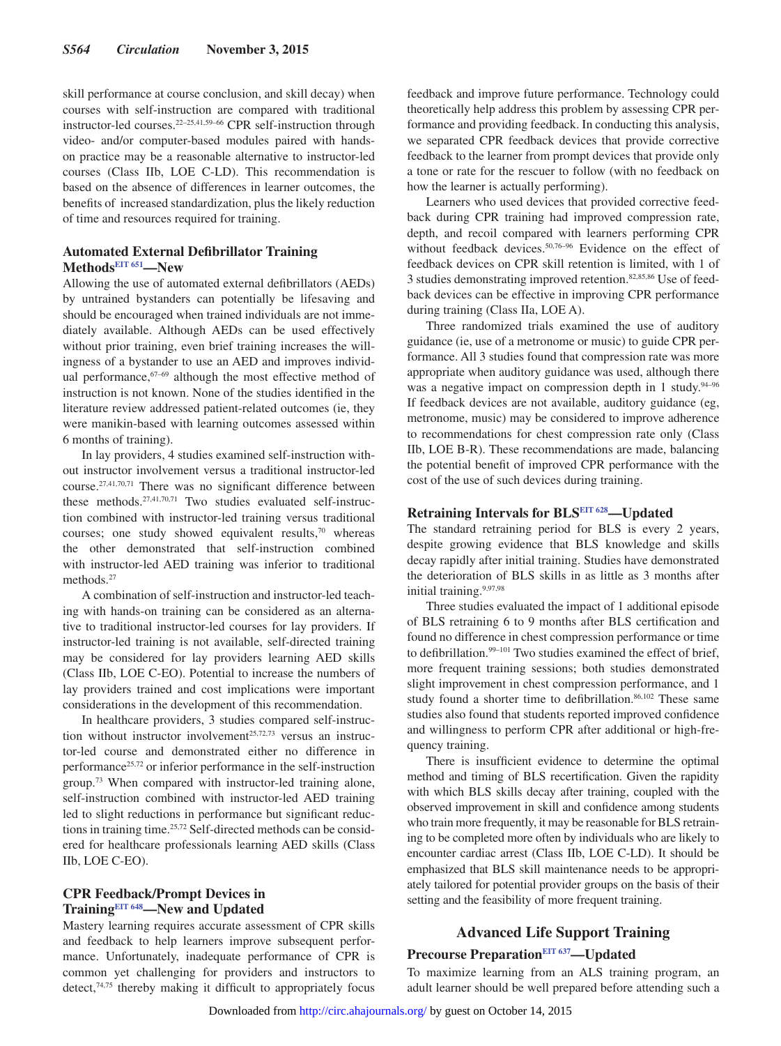skill performance at course conclusion, and skill decay) when courses with self-instruction are compared with traditional instructor-led courses.22–25,41,59–66 CPR self-instruction through video- and/or computer-based modules paired with handson practice may be a reasonable alternative to instructor-led courses (Class IIb, LOE C-LD). This recommendation is based on the absence of differences in learner outcomes, the benefits of increased standardization, plus the likely reduction of time and resources required for training.

#### **Automated External Defibrillator Training Method[sEIT 651](https://volunteer.heart.org/apps/pico/Pages/PublicComment.aspx?q=651)—New**

Allowing the use of automated external defibrillators (AEDs) by untrained bystanders can potentially be lifesaving and should be encouraged when trained individuals are not immediately available. Although AEDs can be used effectively without prior training, even brief training increases the willingness of a bystander to use an AED and improves individual performance, $67-69$  although the most effective method of instruction is not known. None of the studies identified in the literature review addressed patient-related outcomes (ie, they were manikin-based with learning outcomes assessed within 6 months of training).

In lay providers, 4 studies examined self-instruction without instructor involvement versus a traditional instructor-led course.27,41,70,71 There was no significant difference between these methods.27,41,70,71 Two studies evaluated self-instruction combined with instructor-led training versus traditional courses; one study showed equivalent results, $70$  whereas the other demonstrated that self-instruction combined with instructor-led AED training was inferior to traditional methods.<sup>27</sup>

A combination of self-instruction and instructor-led teaching with hands-on training can be considered as an alternative to traditional instructor-led courses for lay providers. If instructor-led training is not available, self-directed training may be considered for lay providers learning AED skills (Class IIb, LOE C-EO). Potential to increase the numbers of lay providers trained and cost implications were important considerations in the development of this recommendation.

In healthcare providers, 3 studies compared self-instruction without instructor involvement<sup>25,72,73</sup> versus an instructor-led course and demonstrated either no difference in performance<sup>25,72</sup> or inferior performance in the self-instruction group.73 When compared with instructor-led training alone, self-instruction combined with instructor-led AED training led to slight reductions in performance but significant reductions in training time.25,72 Self-directed methods can be considered for healthcare professionals learning AED skills (Class IIb, LOE C-EO).

## **CPR Feedback/Prompt Devices in Training[EIT 648](https://volunteer.heart.org/apps/pico/Pages/PublicComment.aspx?q=648)—New and Updated**

Mastery learning requires accurate assessment of CPR skills and feedback to help learners improve subsequent performance. Unfortunately, inadequate performance of CPR is common yet challenging for providers and instructors to detect,74,75 thereby making it difficult to appropriately focus feedback and improve future performance. Technology could theoretically help address this problem by assessing CPR performance and providing feedback. In conducting this analysis, we separated CPR feedback devices that provide corrective feedback to the learner from prompt devices that provide only a tone or rate for the rescuer to follow (with no feedback on how the learner is actually performing).

Learners who used devices that provided corrective feedback during CPR training had improved compression rate, depth, and recoil compared with learners performing CPR without feedback devices.<sup>50,76-96</sup> Evidence on the effect of feedback devices on CPR skill retention is limited, with 1 of 3 studies demonstrating improved retention.82,85,86 Use of feedback devices can be effective in improving CPR performance during training (Class IIa, LOE A).

Three randomized trials examined the use of auditory guidance (ie, use of a metronome or music) to guide CPR performance. All 3 studies found that compression rate was more appropriate when auditory guidance was used, although there was a negative impact on compression depth in 1 study.<sup>94-96</sup> If feedback devices are not available, auditory guidance (eg, metronome, music) may be considered to improve adherence to recommendations for chest compression rate only (Class IIb, LOE B-R). These recommendations are made, balancing the potential benefit of improved CPR performance with the cost of the use of such devices during training.

# **Retraining Intervals for BL[SEIT 628—](https://volunteer.heart.org/apps/pico/Pages/PublicComment.aspx?q=628)Updated**

The standard retraining period for BLS is every 2 years, despite growing evidence that BLS knowledge and skills decay rapidly after initial training. Studies have demonstrated the deterioration of BLS skills in as little as 3 months after initial training.9,97,98

Three studies evaluated the impact of 1 additional episode of BLS retraining 6 to 9 months after BLS certification and found no difference in chest compression performance or time to defibrillation.<sup>99-101</sup> Two studies examined the effect of brief, more frequent training sessions; both studies demonstrated slight improvement in chest compression performance, and 1 study found a shorter time to defibrillation.<sup>86,102</sup> These same studies also found that students reported improved confidence and willingness to perform CPR after additional or high-frequency training.

There is insufficient evidence to determine the optimal method and timing of BLS recertification. Given the rapidity with which BLS skills decay after training, coupled with the observed improvement in skill and confidence among students who train more frequently, it may be reasonable for BLS retraining to be completed more often by individuals who are likely to encounter cardiac arrest (Class IIb, LOE C-LD). It should be emphasized that BLS skill maintenance needs to be appropriately tailored for potential provider groups on the basis of their setting and the feasibility of more frequent training.

# **Advanced Life Support Training**

# **Precourse Preparatio[nEIT 637—](https://volunteer.heart.org/apps/pico/Pages/PublicComment.aspx?q=637)Updated**

To maximize learning from an ALS training program, an adult learner should be well prepared before attending such a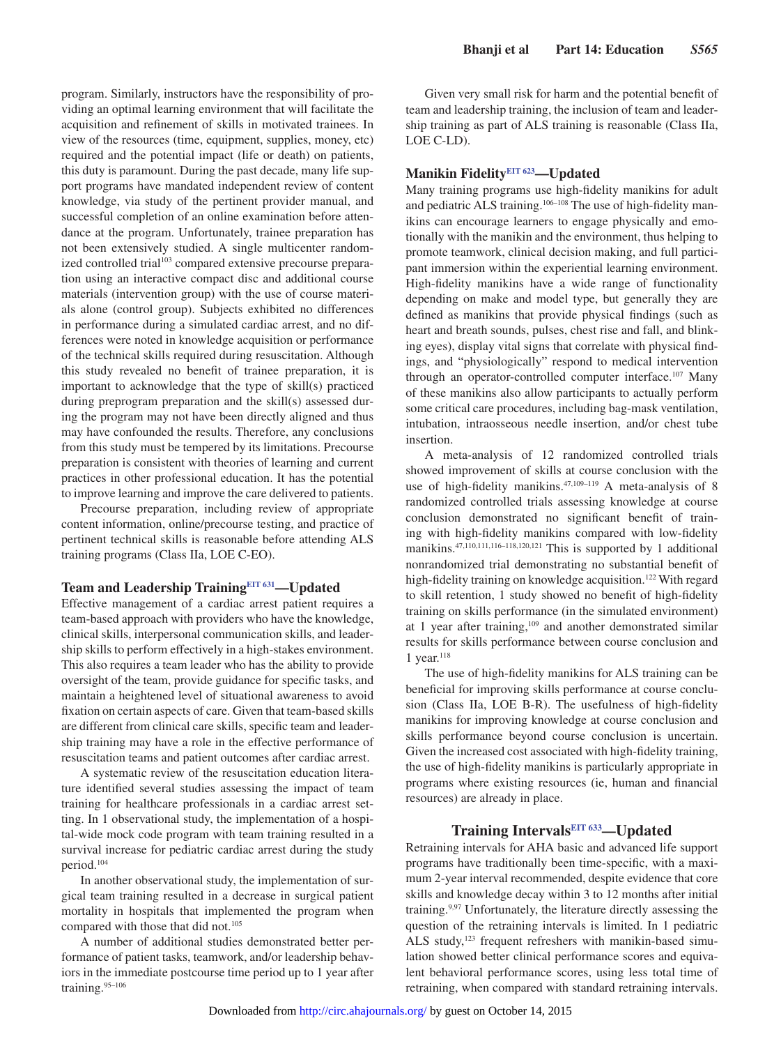program. Similarly, instructors have the responsibility of providing an optimal learning environment that will facilitate the acquisition and refinement of skills in motivated trainees. In view of the resources (time, equipment, supplies, money, etc) required and the potential impact (life or death) on patients, this duty is paramount. During the past decade, many life support programs have mandated independent review of content knowledge, via study of the pertinent provider manual, and successful completion of an online examination before attendance at the program. Unfortunately, trainee preparation has not been extensively studied. A single multicenter randomized controlled trial<sup>103</sup> compared extensive precourse preparation using an interactive compact disc and additional course materials (intervention group) with the use of course materials alone (control group). Subjects exhibited no differences in performance during a simulated cardiac arrest, and no differences were noted in knowledge acquisition or performance of the technical skills required during resuscitation. Although this study revealed no benefit of trainee preparation, it is important to acknowledge that the type of skill(s) practiced during preprogram preparation and the skill(s) assessed during the program may not have been directly aligned and thus may have confounded the results. Therefore, any conclusions from this study must be tempered by its limitations. Precourse preparation is consistent with theories of learning and current practices in other professional education. It has the potential to improve learning and improve the care delivered to patients.

Precourse preparation, including review of appropriate content information, online/precourse testing, and practice of pertinent technical skills is reasonable before attending ALS training programs (Class IIa, LOE C-EO).

# **Team and Leadership Training[EIT 631](https://volunteer.heart.org/apps/pico/Pages/PublicComment.aspx?q=631)—Updated**

Effective management of a cardiac arrest patient requires a team-based approach with providers who have the knowledge, clinical skills, interpersonal communication skills, and leadership skills to perform effectively in a high-stakes environment. This also requires a team leader who has the ability to provide oversight of the team, provide guidance for specific tasks, and maintain a heightened level of situational awareness to avoid fixation on certain aspects of care. Given that team-based skills are different from clinical care skills, specific team and leadership training may have a role in the effective performance of resuscitation teams and patient outcomes after cardiac arrest.

A systematic review of the resuscitation education literature identified several studies assessing the impact of team training for healthcare professionals in a cardiac arrest setting. In 1 observational study, the implementation of a hospital-wide mock code program with team training resulted in a survival increase for pediatric cardiac arrest during the study period.104

In another observational study, the implementation of surgical team training resulted in a decrease in surgical patient mortality in hospitals that implemented the program when compared with those that did not.<sup>105</sup>

A number of additional studies demonstrated better performance of patient tasks, teamwork, and/or leadership behaviors in the immediate postcourse time period up to 1 year after training.95–106

Given very small risk for harm and the potential benefit of team and leadership training, the inclusion of team and leadership training as part of ALS training is reasonable (Class IIa, LOE C-LD).

## **Manikin Fidelity[EIT 623—](https://volunteer.heart.org/apps/pico/Pages/PublicComment.aspx?q=623)Updated**

Many training programs use high-fidelity manikins for adult and pediatric ALS training.<sup>106–108</sup> The use of high-fidelity manikins can encourage learners to engage physically and emotionally with the manikin and the environment, thus helping to promote teamwork, clinical decision making, and full participant immersion within the experiential learning environment. High-fidelity manikins have a wide range of functionality depending on make and model type, but generally they are defined as manikins that provide physical findings (such as heart and breath sounds, pulses, chest rise and fall, and blinking eyes), display vital signs that correlate with physical findings, and "physiologically" respond to medical intervention through an operator-controlled computer interface.107 Many of these manikins also allow participants to actually perform some critical care procedures, including bag-mask ventilation, intubation, intraosseous needle insertion, and/or chest tube insertion.

A meta-analysis of 12 randomized controlled trials showed improvement of skills at course conclusion with the use of high-fidelity manikins.<sup>47,109-119</sup> A meta-analysis of 8 randomized controlled trials assessing knowledge at course conclusion demonstrated no significant benefit of training with high-fidelity manikins compared with low-fidelity manikins.47,110,111,116–118,120,121 This is supported by 1 additional nonrandomized trial demonstrating no substantial benefit of high-fidelity training on knowledge acquisition.<sup>122</sup> With regard to skill retention, 1 study showed no benefit of high-fidelity training on skills performance (in the simulated environment) at 1 year after training,109 and another demonstrated similar results for skills performance between course conclusion and 1 year. $118$ 

The use of high-fidelity manikins for ALS training can be beneficial for improving skills performance at course conclusion (Class IIa, LOE B-R). The usefulness of high-fidelity manikins for improving knowledge at course conclusion and skills performance beyond course conclusion is uncertain. Given the increased cost associated with high-fidelity training, the use of high-fidelity manikins is particularly appropriate in programs where existing resources (ie, human and financial resources) are already in place.

#### **Training Intervals[EIT 633—](https://volunteer.heart.org/apps/pico/Pages/PublicComment.aspx?q=633)Updated**

Retraining intervals for AHA basic and advanced life support programs have traditionally been time-specific, with a maximum 2-year interval recommended, despite evidence that core skills and knowledge decay within 3 to 12 months after initial training.9,97 Unfortunately, the literature directly assessing the question of the retraining intervals is limited. In 1 pediatric ALS study,<sup>123</sup> frequent refreshers with manikin-based simulation showed better clinical performance scores and equivalent behavioral performance scores, using less total time of retraining, when compared with standard retraining intervals.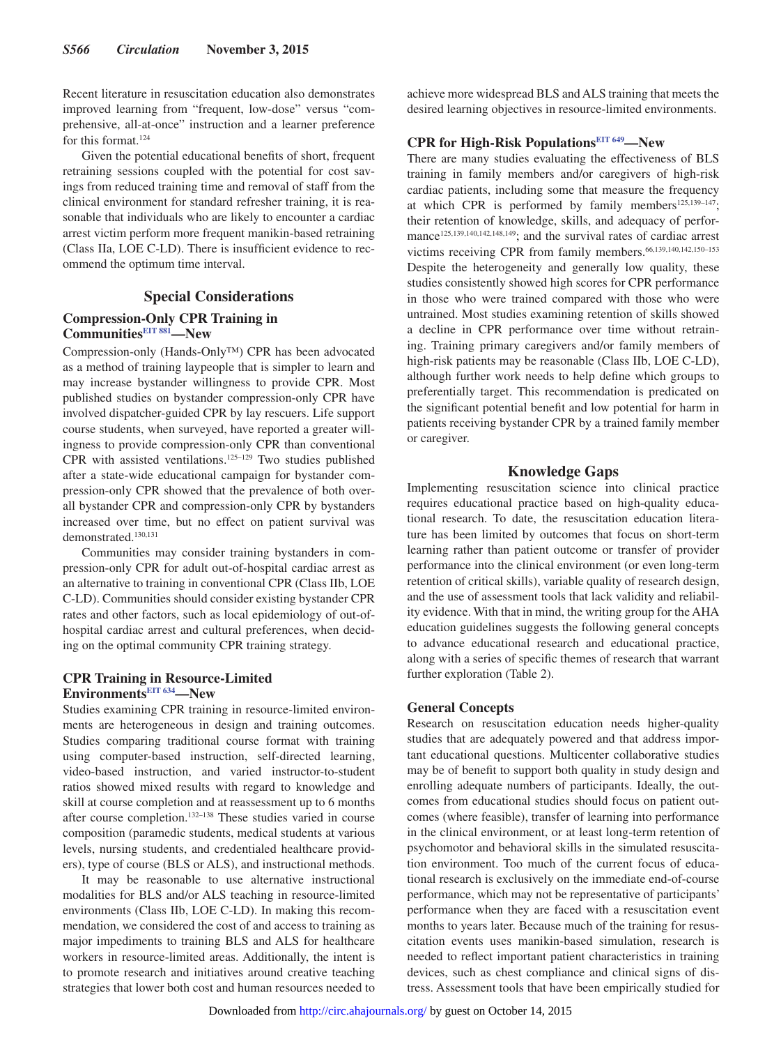Recent literature in resuscitation education also demonstrates improved learning from "frequent, low-dose" versus "comprehensive, all-at-once" instruction and a learner preference for this format.124

Given the potential educational benefits of short, frequent retraining sessions coupled with the potential for cost savings from reduced training time and removal of staff from the clinical environment for standard refresher training, it is reasonable that individuals who are likely to encounter a cardiac arrest victim perform more frequent manikin-based retraining (Class IIa, LOE C-LD). There is insufficient evidence to recommend the optimum time interval.

#### **Special Considerations**

## **Compression-Only CPR Training in Communitie[sEIT 881](https://volunteer.heart.org/apps/pico/Pages/PublicComment.aspx?q=881)—New**

Compression-only (Hands-Only™) CPR has been advocated as a method of training laypeople that is simpler to learn and may increase bystander willingness to provide CPR. Most published studies on bystander compression-only CPR have involved dispatcher-guided CPR by lay rescuers. Life support course students, when surveyed, have reported a greater willingness to provide compression-only CPR than conventional CPR with assisted ventilations.125–129 Two studies published after a state-wide educational campaign for bystander compression-only CPR showed that the prevalence of both overall bystander CPR and compression-only CPR by bystanders increased over time, but no effect on patient survival was demonstrated.130,131

Communities may consider training bystanders in compression-only CPR for adult out-of-hospital cardiac arrest as an alternative to training in conventional CPR (Class IIb, LOE C-LD). Communities should consider existing bystander CPR rates and other factors, such as local epidemiology of out-ofhospital cardiac arrest and cultural preferences, when deciding on the optimal community CPR training strategy.

#### **CPR Training in Resource-Limited Environments[EIT 634](https://volunteer.heart.org/apps/pico/Pages/PublicComment.aspx?q=634)—New**

Studies examining CPR training in resource-limited environments are heterogeneous in design and training outcomes. Studies comparing traditional course format with training using computer-based instruction, self-directed learning, video-based instruction, and varied instructor-to-student ratios showed mixed results with regard to knowledge and skill at course completion and at reassessment up to 6 months after course completion.132–138 These studies varied in course composition (paramedic students, medical students at various levels, nursing students, and credentialed healthcare providers), type of course (BLS or ALS), and instructional methods.

It may be reasonable to use alternative instructional modalities for BLS and/or ALS teaching in resource-limited environments (Class IIb, LOE C-LD). In making this recommendation, we considered the cost of and access to training as major impediments to training BLS and ALS for healthcare workers in resource-limited areas. Additionally, the intent is to promote research and initiatives around creative teaching strategies that lower both cost and human resources needed to achieve more widespread BLS and ALS training that meets the desired learning objectives in resource-limited environments.

# **CPR for High-Risk Populations[EIT 649—](https://volunteer.heart.org/apps/pico/Pages/PublicComment.aspx?q=649)New**

There are many studies evaluating the effectiveness of BLS training in family members and/or caregivers of high-risk cardiac patients, including some that measure the frequency at which CPR is performed by family members<sup>125,139-147</sup>; their retention of knowledge, skills, and adequacy of performance<sup>125,139,140,142,148,149</sup>; and the survival rates of cardiac arrest victims receiving CPR from family members.66,139,140,142,150–153 Despite the heterogeneity and generally low quality, these studies consistently showed high scores for CPR performance in those who were trained compared with those who were untrained. Most studies examining retention of skills showed a decline in CPR performance over time without retraining. Training primary caregivers and/or family members of high-risk patients may be reasonable (Class IIb, LOE C-LD), although further work needs to help define which groups to preferentially target. This recommendation is predicated on the significant potential benefit and low potential for harm in patients receiving bystander CPR by a trained family member or caregiver.

## **Knowledge Gaps**

Implementing resuscitation science into clinical practice requires educational practice based on high-quality educational research. To date, the resuscitation education literature has been limited by outcomes that focus on short-term learning rather than patient outcome or transfer of provider performance into the clinical environment (or even long-term retention of critical skills), variable quality of research design, and the use of assessment tools that lack validity and reliability evidence. With that in mind, the writing group for the AHA education guidelines suggests the following general concepts to advance educational research and educational practice, along with a series of specific themes of research that warrant further exploration (Table 2).

#### **General Concepts**

Research on resuscitation education needs higher-quality studies that are adequately powered and that address important educational questions. Multicenter collaborative studies may be of benefit to support both quality in study design and enrolling adequate numbers of participants. Ideally, the outcomes from educational studies should focus on patient outcomes (where feasible), transfer of learning into performance in the clinical environment, or at least long-term retention of psychomotor and behavioral skills in the simulated resuscitation environment. Too much of the current focus of educational research is exclusively on the immediate end-of-course performance, which may not be representative of participants' performance when they are faced with a resuscitation event months to years later. Because much of the training for resuscitation events uses manikin-based simulation, research is needed to reflect important patient characteristics in training devices, such as chest compliance and clinical signs of distress. Assessment tools that have been empirically studied for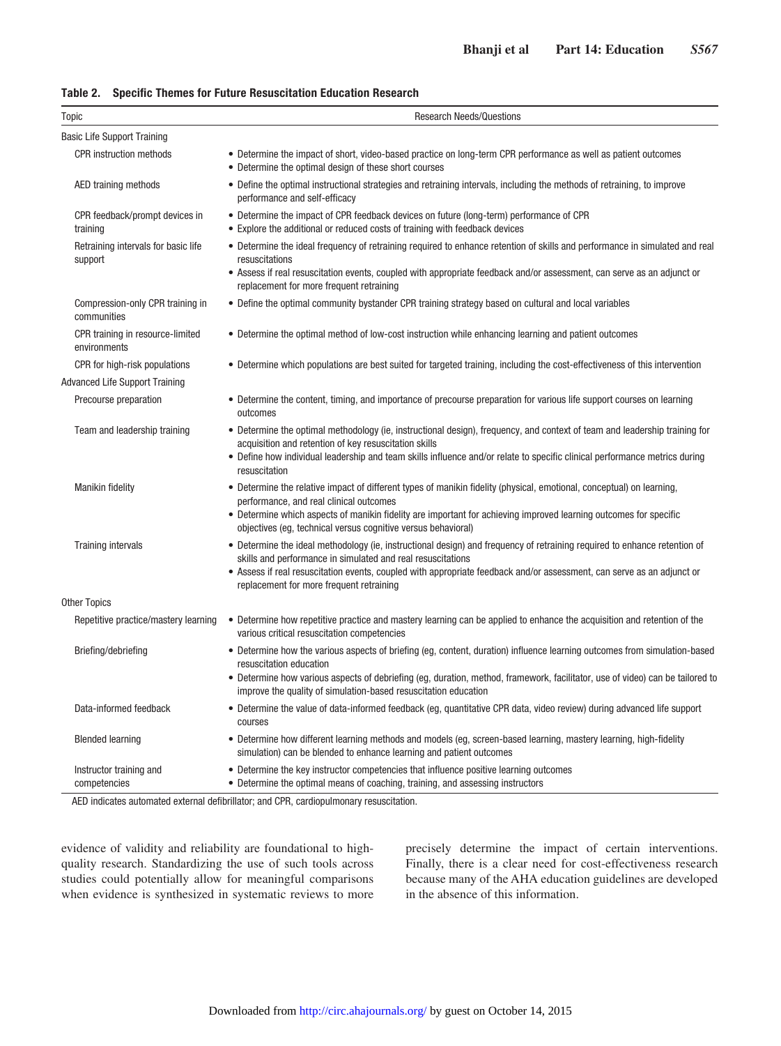|  |  |  |  | Table 2. Specific Themes for Future Resuscitation Education Research |
|--|--|--|--|----------------------------------------------------------------------|
|--|--|--|--|----------------------------------------------------------------------|

| Topic                                            | <b>Research Needs/Questions</b>                                                                                                                                                                                                                                                                                                                                |
|--------------------------------------------------|----------------------------------------------------------------------------------------------------------------------------------------------------------------------------------------------------------------------------------------------------------------------------------------------------------------------------------------------------------------|
| <b>Basic Life Support Training</b>               |                                                                                                                                                                                                                                                                                                                                                                |
| <b>CPR</b> instruction methods                   | • Determine the impact of short, video-based practice on long-term CPR performance as well as patient outcomes<br>• Determine the optimal design of these short courses                                                                                                                                                                                        |
| AED training methods                             | • Define the optimal instructional strategies and retraining intervals, including the methods of retraining, to improve<br>performance and self-efficacy                                                                                                                                                                                                       |
| CPR feedback/prompt devices in<br>training       | • Determine the impact of CPR feedback devices on future (long-term) performance of CPR<br>• Explore the additional or reduced costs of training with feedback devices                                                                                                                                                                                         |
| Retraining intervals for basic life<br>support   | • Determine the ideal frequency of retraining required to enhance retention of skills and performance in simulated and real<br>resuscitations<br>• Assess if real resuscitation events, coupled with appropriate feedback and/or assessment, can serve as an adjunct or<br>replacement for more frequent retraining                                            |
| Compression-only CPR training in<br>communities  | • Define the optimal community bystander CPR training strategy based on cultural and local variables                                                                                                                                                                                                                                                           |
| CPR training in resource-limited<br>environments | • Determine the optimal method of low-cost instruction while enhancing learning and patient outcomes                                                                                                                                                                                                                                                           |
| CPR for high-risk populations                    | • Determine which populations are best suited for targeted training, including the cost-effectiveness of this intervention                                                                                                                                                                                                                                     |
| Advanced Life Support Training                   |                                                                                                                                                                                                                                                                                                                                                                |
| Precourse preparation                            | • Determine the content, timing, and importance of precourse preparation for various life support courses on learning<br>outcomes                                                                                                                                                                                                                              |
| Team and leadership training                     | • Determine the optimal methodology (ie, instructional design), frequency, and context of team and leadership training for<br>acquisition and retention of key resuscitation skills<br>• Define how individual leadership and team skills influence and/or relate to specific clinical performance metrics during<br>resuscitation                             |
| <b>Manikin fidelity</b>                          | • Determine the relative impact of different types of manikin fidelity (physical, emotional, conceptual) on learning,<br>performance, and real clinical outcomes<br>• Determine which aspects of manikin fidelity are important for achieving improved learning outcomes for specific<br>objectives (eg, technical versus cognitive versus behavioral)         |
| <b>Training intervals</b>                        | • Determine the ideal methodology (ie, instructional design) and frequency of retraining required to enhance retention of<br>skills and performance in simulated and real resuscitations<br>· Assess if real resuscitation events, coupled with appropriate feedback and/or assessment, can serve as an adjunct or<br>replacement for more frequent retraining |
| <b>Other Topics</b>                              |                                                                                                                                                                                                                                                                                                                                                                |
| Repetitive practice/mastery learning             | • Determine how repetitive practice and mastery learning can be applied to enhance the acquisition and retention of the<br>various critical resuscitation competencies                                                                                                                                                                                         |
| Briefing/debriefing                              | • Determine how the various aspects of briefing (eg, content, duration) influence learning outcomes from simulation-based<br>resuscitation education<br>• Determine how various aspects of debriefing (eg, duration, method, framework, facilitator, use of video) can be tailored to<br>improve the quality of simulation-based resuscitation education       |
| Data-informed feedback                           | • Determine the value of data-informed feedback (eg, quantitative CPR data, video review) during advanced life support<br>courses                                                                                                                                                                                                                              |
| <b>Blended learning</b>                          | • Determine how different learning methods and models (eg, screen-based learning, mastery learning, high-fidelity<br>simulation) can be blended to enhance learning and patient outcomes                                                                                                                                                                       |
| Instructor training and<br>competencies          | • Determine the key instructor competencies that influence positive learning outcomes<br>• Determine the optimal means of coaching, training, and assessing instructors                                                                                                                                                                                        |

AED indicates automated external defibrillator; and CPR, cardiopulmonary resuscitation.

evidence of validity and reliability are foundational to highquality research. Standardizing the use of such tools across studies could potentially allow for meaningful comparisons when evidence is synthesized in systematic reviews to more precisely determine the impact of certain interventions. Finally, there is a clear need for cost-effectiveness research because many of the AHA education guidelines are developed in the absence of this information.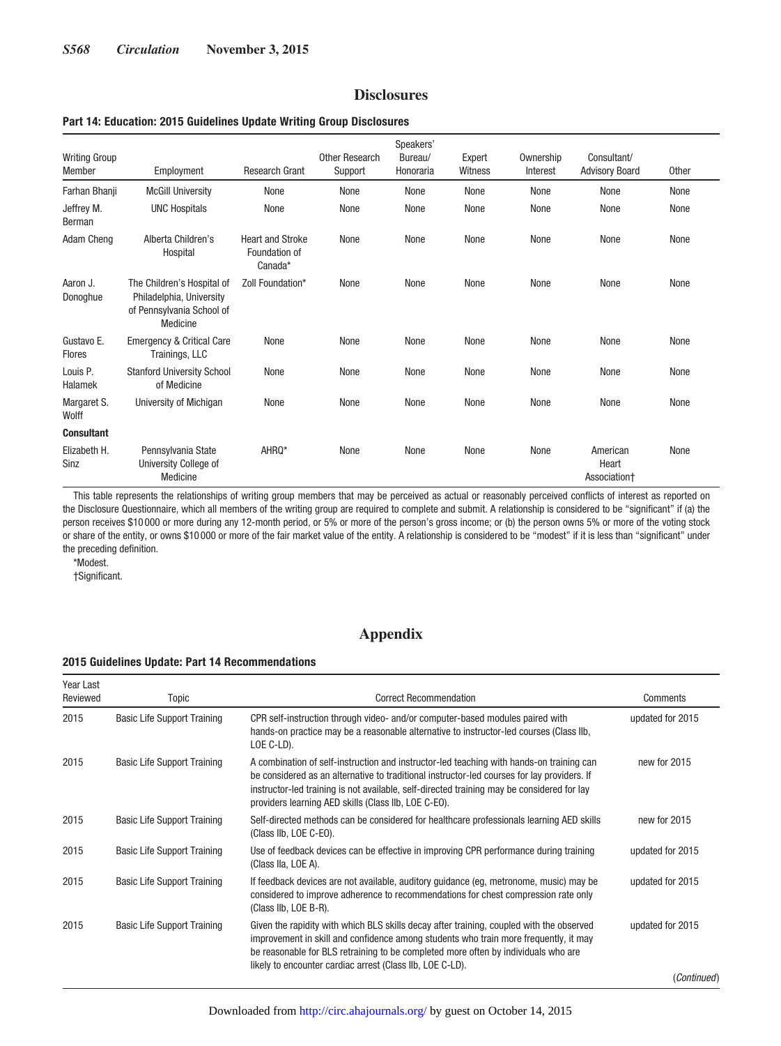# **Disclosures**

#### **Part 14: Education: 2015 Guidelines Update Writing Group Disclosures**

| <b>Writing Group</b><br>Member | Employment                                                                                      | <b>Research Grant</b>                               | Other Research<br>Support | Speakers'<br>Bureau/<br>Honoraria | Expert<br>Witness | Ownership<br>Interest | Consultant/<br><b>Advisory Board</b> | Other |
|--------------------------------|-------------------------------------------------------------------------------------------------|-----------------------------------------------------|---------------------------|-----------------------------------|-------------------|-----------------------|--------------------------------------|-------|
| Farhan Bhanji                  | <b>McGill University</b>                                                                        | None                                                | None                      | None                              | None              | None                  | None                                 | None  |
| Jeffrey M.<br>Berman           | <b>UNC Hospitals</b>                                                                            | None                                                | None                      | None                              | None              | None                  | None                                 | None  |
| Adam Cheng                     | Alberta Children's<br>Hospital                                                                  | <b>Heart and Stroke</b><br>Foundation of<br>Canada* | None                      | None                              | None              | None                  | None                                 | None  |
| Aaron J.<br>Donoghue           | The Children's Hospital of<br>Philadelphia, University<br>of Pennsylvania School of<br>Medicine | Zoll Foundation*                                    | None                      | None                              | None              | None                  | None                                 | None  |
| Gustavo E.<br><b>Flores</b>    | <b>Emergency &amp; Critical Care</b><br>Trainings, LLC                                          | None                                                | None                      | None                              | None              | None                  | None                                 | None  |
| Louis P.<br>Halamek            | <b>Stanford University School</b><br>of Medicine                                                | None                                                | None                      | None                              | None              | None                  | None                                 | None  |
| Margaret S.<br>Wolff           | University of Michigan                                                                          | None                                                | None                      | None                              | None              | None                  | None                                 | None  |
| <b>Consultant</b>              |                                                                                                 |                                                     |                           |                                   |                   |                       |                                      |       |
| Elizabeth H.<br>Sinz           | Pennsylvania State<br>University College of<br>Medicine                                         | AHRQ*                                               | None                      | None                              | None              | None                  | American<br>Heart<br>Association+    | None  |

This table represents the relationships of writing group members that may be perceived as actual or reasonably perceived conflicts of interest as reported on the Disclosure Questionnaire, which all members of the writing group are required to complete and submit. A relationship is considered to be "significant" if (a) the person receives \$10 000 or more during any 12-month period, or 5% or more of the person's gross income; or (b) the person owns 5% or more of the voting stock or share of the entity, or owns \$10 000 or more of the fair market value of the entity. A relationship is considered to be "modest" if it is less than "significant" under the preceding definition.

\*Modest.

†Significant.

# **Appendix**

#### **2015 Guidelines Update: Part 14 Recommendations**

| Year Last<br>Reviewed | Topic                              | <b>Correct Recommendation</b>                                                                                                                                                                                                                                                                                                                 | Comments         |
|-----------------------|------------------------------------|-----------------------------------------------------------------------------------------------------------------------------------------------------------------------------------------------------------------------------------------------------------------------------------------------------------------------------------------------|------------------|
| 2015                  | <b>Basic Life Support Training</b> | CPR self-instruction through video- and/or computer-based modules paired with<br>hands-on practice may be a reasonable alternative to instructor-led courses (Class IIb,<br>LOE C-LD).                                                                                                                                                        | updated for 2015 |
| 2015                  | <b>Basic Life Support Training</b> | A combination of self-instruction and instructor-led teaching with hands-on training can<br>be considered as an alternative to traditional instructor-led courses for lay providers. If<br>instructor-led training is not available, self-directed training may be considered for lay<br>providers learning AED skills (Class IIb, LOE C-EO). | new for 2015     |
| 2015                  | <b>Basic Life Support Training</b> | Self-directed methods can be considered for healthcare professionals learning AED skills<br>(Class IIb, LOE C-EO).                                                                                                                                                                                                                            | new for 2015     |
| 2015                  | <b>Basic Life Support Training</b> | Use of feedback devices can be effective in improving CPR performance during training<br>(Class IIa, LOE A).                                                                                                                                                                                                                                  | updated for 2015 |
| 2015                  | <b>Basic Life Support Training</b> | If feedback devices are not available, auditory guidance (eg, metronome, music) may be<br>considered to improve adherence to recommendations for chest compression rate only<br>(Class IIb, LOE B-R).                                                                                                                                         | updated for 2015 |
| 2015                  | <b>Basic Life Support Training</b> | Given the rapidity with which BLS skills decay after training, coupled with the observed<br>improvement in skill and confidence among students who train more frequently, it may<br>be reasonable for BLS retraining to be completed more often by individuals who are<br>likely to encounter cardiac arrest (Class IIb, LOE C-LD).           | updated for 2015 |
|                       |                                    |                                                                                                                                                                                                                                                                                                                                               | (Continued)      |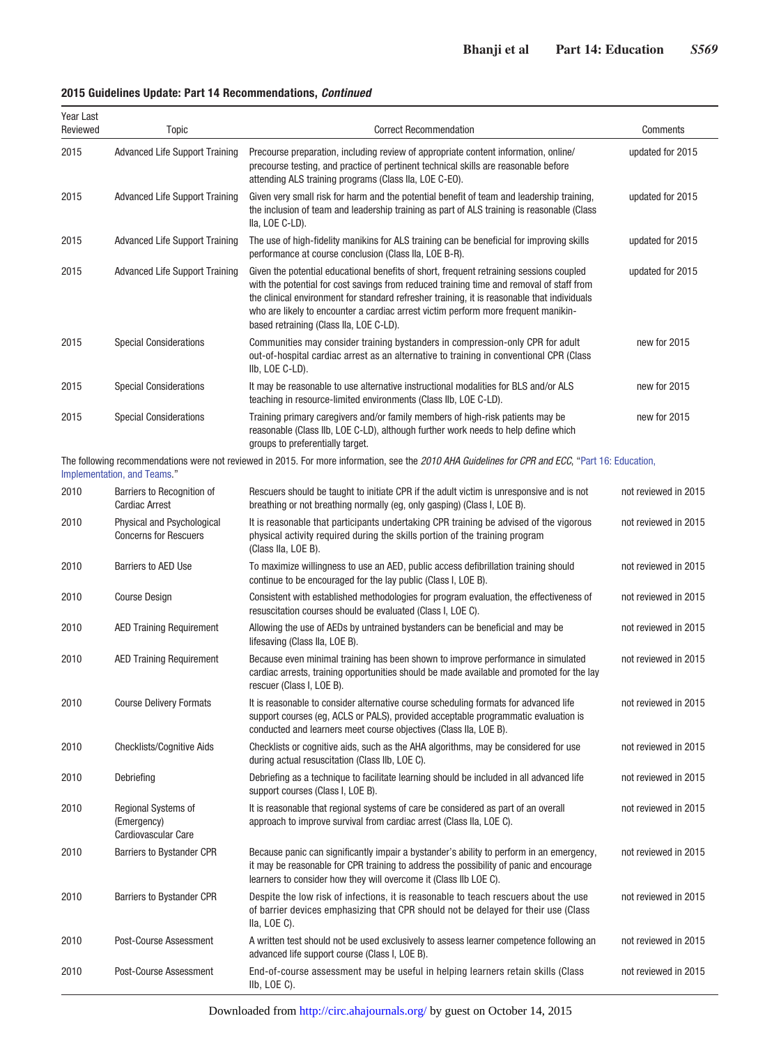|  |  | 2015 Guidelines Update: Part 14 Recommendations, Continued |  |
|--|--|------------------------------------------------------------|--|
|  |  |                                                            |  |

| Year Last<br>Reviewed | Topic                                                            | <b>Correct Recommendation</b>                                                                                                                                                                                                                                                                                                                                                                                       | Comments             |
|-----------------------|------------------------------------------------------------------|---------------------------------------------------------------------------------------------------------------------------------------------------------------------------------------------------------------------------------------------------------------------------------------------------------------------------------------------------------------------------------------------------------------------|----------------------|
| 2015                  | <b>Advanced Life Support Training</b>                            | Precourse preparation, including review of appropriate content information, online/<br>precourse testing, and practice of pertinent technical skills are reasonable before<br>attending ALS training programs (Class IIa, LOE C-EO).                                                                                                                                                                                | updated for 2015     |
| 2015                  | <b>Advanced Life Support Training</b>                            | Given very small risk for harm and the potential benefit of team and leadership training,<br>the inclusion of team and leadership training as part of ALS training is reasonable (Class<br>Ila, LOE C-LD).                                                                                                                                                                                                          | updated for 2015     |
| 2015                  | <b>Advanced Life Support Training</b>                            | The use of high-fidelity manikins for ALS training can be beneficial for improving skills<br>performance at course conclusion (Class IIa, LOE B-R).                                                                                                                                                                                                                                                                 | updated for 2015     |
| 2015                  | <b>Advanced Life Support Training</b>                            | Given the potential educational benefits of short, frequent retraining sessions coupled<br>with the potential for cost savings from reduced training time and removal of staff from<br>the clinical environment for standard refresher training, it is reasonable that individuals<br>who are likely to encounter a cardiac arrest victim perform more frequent manikin-<br>based retraining (Class IIa, LOE C-LD). | updated for 2015     |
| 2015                  | <b>Special Considerations</b>                                    | Communities may consider training bystanders in compression-only CPR for adult<br>out-of-hospital cardiac arrest as an alternative to training in conventional CPR (Class<br>IIb, LOE C-LD).                                                                                                                                                                                                                        | new for 2015         |
| 2015                  | <b>Special Considerations</b>                                    | It may be reasonable to use alternative instructional modalities for BLS and/or ALS<br>teaching in resource-limited environments (Class IIb, LOE C-LD).                                                                                                                                                                                                                                                             | new for 2015         |
| 2015                  | <b>Special Considerations</b>                                    | Training primary caregivers and/or family members of high-risk patients may be<br>reasonable (Class IIb, LOE C-LD), although further work needs to help define which<br>groups to preferentially target.                                                                                                                                                                                                            | new for 2015         |
|                       | Implementation, and Teams."                                      | The following recommendations were not reviewed in 2015. For more information, see the 2010 AHA Guidelines for CPR and ECC, "Part 16: Education,                                                                                                                                                                                                                                                                    |                      |
| 2010                  | Barriers to Recognition of<br><b>Cardiac Arrest</b>              | Rescuers should be taught to initiate CPR if the adult victim is unresponsive and is not<br>breathing or not breathing normally (eg, only gasping) (Class I, LOE B).                                                                                                                                                                                                                                                | not reviewed in 2015 |
| 2010                  | Physical and Psychological<br><b>Concerns for Rescuers</b>       | It is reasonable that participants undertaking CPR training be advised of the vigorous<br>physical activity required during the skills portion of the training program<br>(Class IIa, LOE B).                                                                                                                                                                                                                       | not reviewed in 2015 |
| 2010                  | <b>Barriers to AED Use</b>                                       | To maximize willingness to use an AED, public access defibrillation training should<br>continue to be encouraged for the lay public (Class I, LOE B).                                                                                                                                                                                                                                                               | not reviewed in 2015 |
| 2010                  | <b>Course Design</b>                                             | Consistent with established methodologies for program evaluation, the effectiveness of<br>resuscitation courses should be evaluated (Class I, LOE C).                                                                                                                                                                                                                                                               | not reviewed in 2015 |
| 2010                  | <b>AED Training Requirement</b>                                  | Allowing the use of AEDs by untrained bystanders can be beneficial and may be<br>lifesaving (Class IIa, LOE B).                                                                                                                                                                                                                                                                                                     | not reviewed in 2015 |
| 2010                  | <b>AED Training Requirement</b>                                  | Because even minimal training has been shown to improve performance in simulated<br>cardiac arrests, training opportunities should be made available and promoted for the lay<br>rescuer (Class I, LOE B).                                                                                                                                                                                                          | not reviewed in 2015 |
| 2010                  | <b>Course Delivery Formats</b>                                   | It is reasonable to consider alternative course scheduling formats for advanced life<br>support courses (eg, ACLS or PALS), provided acceptable programmatic evaluation is<br>conducted and learners meet course objectives (Class IIa, LOE B).                                                                                                                                                                     | not reviewed in 2015 |
| 2010                  | <b>Checklists/Cognitive Aids</b>                                 | Checklists or cognitive aids, such as the AHA algorithms, may be considered for use<br>during actual resuscitation (Class IIb, LOE C).                                                                                                                                                                                                                                                                              | not reviewed in 2015 |
| 2010                  | Debriefing                                                       | Debriefing as a technique to facilitate learning should be included in all advanced life<br>support courses (Class I, LOE B).                                                                                                                                                                                                                                                                                       | not reviewed in 2015 |
| 2010                  | <b>Regional Systems of</b><br>(Emergency)<br>Cardiovascular Care | It is reasonable that regional systems of care be considered as part of an overall<br>approach to improve survival from cardiac arrest (Class IIa, LOE C).                                                                                                                                                                                                                                                          | not reviewed in 2015 |
| 2010                  | <b>Barriers to Bystander CPR</b>                                 | Because panic can significantly impair a bystander's ability to perform in an emergency,<br>it may be reasonable for CPR training to address the possibility of panic and encourage<br>learners to consider how they will overcome it (Class IIb LOE C).                                                                                                                                                            | not reviewed in 2015 |
| 2010                  | <b>Barriers to Bystander CPR</b>                                 | Despite the low risk of infections, it is reasonable to teach rescuers about the use<br>of barrier devices emphasizing that CPR should not be delayed for their use (Class<br>IIa, LOE C).                                                                                                                                                                                                                          | not reviewed in 2015 |
| 2010                  | Post-Course Assessment                                           | A written test should not be used exclusively to assess learner competence following an<br>advanced life support course (Class I, LOE B).                                                                                                                                                                                                                                                                           | not reviewed in 2015 |
| 2010                  | Post-Course Assessment                                           | End-of-course assessment may be useful in helping learners retain skills (Class<br>$I_{\text{lb}}$ , LOE C).                                                                                                                                                                                                                                                                                                        | not reviewed in 2015 |

Downloaded from<http://circ.ahajournals.org/>by guest on October 14, 2015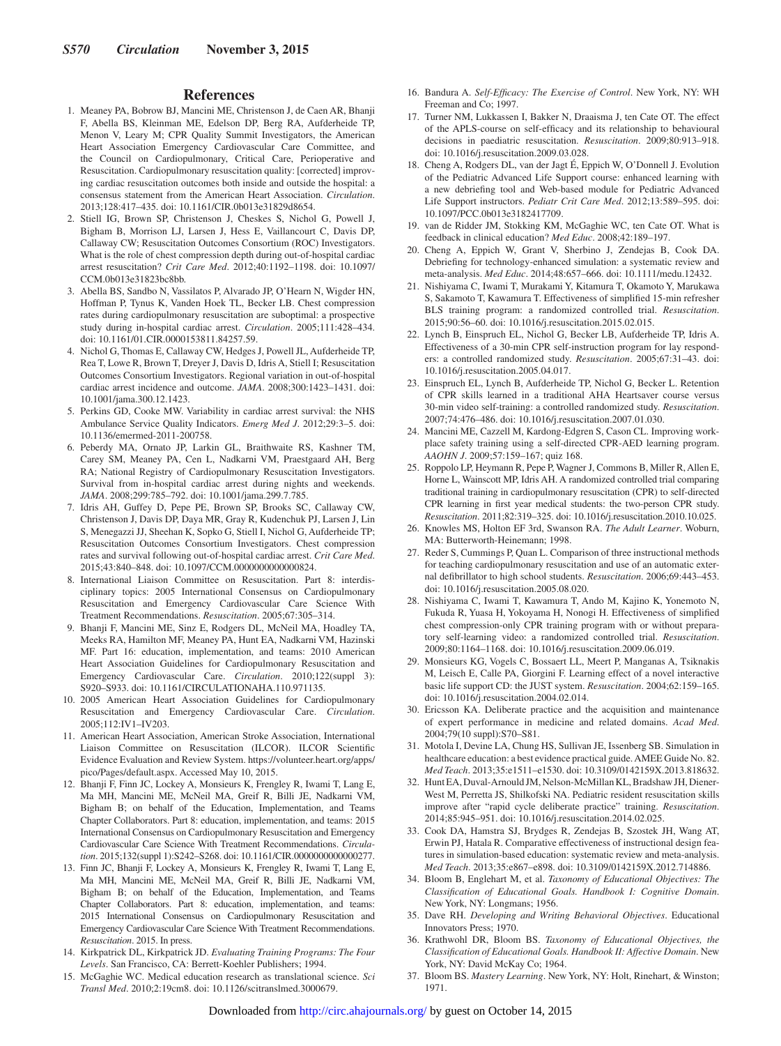### **References**

- 1. Meaney PA, Bobrow BJ, Mancini ME, Christenson J, de Caen AR, Bhanji F, Abella BS, Kleinman ME, Edelson DP, Berg RA, Aufderheide TP, Menon V, Leary M; CPR Quality Summit Investigators, the American Heart Association Emergency Cardiovascular Care Committee, and the Council on Cardiopulmonary, Critical Care, Perioperative and Resuscitation. Cardiopulmonary resuscitation quality: [corrected] improving cardiac resuscitation outcomes both inside and outside the hospital: a consensus statement from the American Heart Association. *Circulation*. 2013;128:417–435. doi: 10.1161/CIR.0b013e31829d8654.
- 2. Stiell IG, Brown SP, Christenson J, Cheskes S, Nichol G, Powell J, Bigham B, Morrison LJ, Larsen J, Hess E, Vaillancourt C, Davis DP, Callaway CW; Resuscitation Outcomes Consortium (ROC) Investigators. What is the role of chest compression depth during out-of-hospital cardiac arrest resuscitation? *Crit Care Med*. 2012;40:1192–1198. doi: 10.1097/ CCM.0b013e31823bc8bb.
- 3. Abella BS, Sandbo N, Vassilatos P, Alvarado JP, O'Hearn N, Wigder HN, Hoffman P, Tynus K, Vanden Hoek TL, Becker LB. Chest compression rates during cardiopulmonary resuscitation are suboptimal: a prospective study during in-hospital cardiac arrest. *Circulation*. 2005;111:428–434. doi: 10.1161/01.CIR.0000153811.84257.59.
- 4. Nichol G, Thomas E, Callaway CW, Hedges J, Powell JL, Aufderheide TP, Rea T, Lowe R, Brown T, Dreyer J, Davis D, Idris A, Stiell I; Resuscitation Outcomes Consortium Investigators. Regional variation in out-of-hospital cardiac arrest incidence and outcome. *JAMA*. 2008;300:1423–1431. doi: 10.1001/jama.300.12.1423.
- 5. Perkins GD, Cooke MW. Variability in cardiac arrest survival: the NHS Ambulance Service Quality Indicators. *Emerg Med J*. 2012;29:3–5. doi: 10.1136/emermed-2011-200758.
- 6. Peberdy MA, Ornato JP, Larkin GL, Braithwaite RS, Kashner TM, Carey SM, Meaney PA, Cen L, Nadkarni VM, Praestgaard AH, Berg RA; National Registry of Cardiopulmonary Resuscitation Investigators. Survival from in-hospital cardiac arrest during nights and weekends. *JAMA*. 2008;299:785–792. doi: 10.1001/jama.299.7.785.
- 7. Idris AH, Guffey D, Pepe PE, Brown SP, Brooks SC, Callaway CW, Christenson J, Davis DP, Daya MR, Gray R, Kudenchuk PJ, Larsen J, Lin S, Menegazzi JJ, Sheehan K, Sopko G, Stiell I, Nichol G, Aufderheide TP; Resuscitation Outcomes Consortium Investigators. Chest compression rates and survival following out-of-hospital cardiac arrest. *Crit Care Med*. 2015;43:840–848. doi: 10.1097/CCM.0000000000000824.
- 8. International Liaison Committee on Resuscitation. Part 8: interdisciplinary topics: 2005 International Consensus on Cardiopulmonary Resuscitation and Emergency Cardiovascular Care Science With Treatment Recommendations. *Resuscitation*. 2005;67:305–314.
- 9. Bhanji F, Mancini ME, Sinz E, Rodgers DL, McNeil MA, Hoadley TA, Meeks RA, Hamilton MF, Meaney PA, Hunt EA, Nadkarni VM, Hazinski MF. Part 16: education, implementation, and teams: 2010 American Heart Association Guidelines for Cardiopulmonary Resuscitation and Emergency Cardiovascular Care. *Circulation*. 2010;122(suppl 3): S920–S933. doi: 10.1161/CIRCULATIONAHA.110.971135.
- 10. 2005 American Heart Association Guidelines for Cardiopulmonary Resuscitation and Emergency Cardiovascular Care. *Circulation*. 2005;112:IV1–IV203.
- 11. American Heart Association, American Stroke Association, International Liaison Committee on Resuscitation (ILCOR). ILCOR Scientific Evidence Evaluation and Review System. [https://volunteer.heart.org/apps/](https://volunteer.heart.org/apps/pico/Pages/default.aspx) [pico/Pages/default.aspx](https://volunteer.heart.org/apps/pico/Pages/default.aspx). Accessed May 10, 2015.
- 12. Bhanji F, Finn JC, Lockey A, Monsieurs K, Frengley R, Iwami T, Lang E, Ma MH, Mancini ME, McNeil MA, Greif R, Billi JE, Nadkarni VM, Bigham B; on behalf of the Education, Implementation, and Teams Chapter Collaborators. Part 8: education, implementation, and teams: 2015 International Consensus on Cardiopulmonary Resuscitation and Emergency Cardiovascular Care Science With Treatment Recommendations. *Circulation*. 2015;132(suppl 1):S242–S268. doi: 10.1161/CIR.0000000000000277.
- 13. Finn JC, Bhanji F, Lockey A, Monsieurs K, Frengley R, Iwami T, Lang E, Ma MH, Mancini ME, McNeil MA, Greif R, Billi JE, Nadkarni VM, Bigham B; on behalf of the Education, Implementation, and Teams Chapter Collaborators. Part 8: education, implementation, and teams: 2015 International Consensus on Cardiopulmonary Resuscitation and Emergency Cardiovascular Care Science With Treatment Recommendations. *Resuscitation*. 2015. In press.
- 14. Kirkpatrick DL, Kirkpatrick JD. *Evaluating Training Programs: The Four Levels*. San Francisco, CA: Berrett-Koehler Publishers; 1994.
- 15. McGaghie WC. Medical education research as translational science. *Sci Transl Med*. 2010;2:19cm8. doi: 10.1126/scitranslmed.3000679.
- 16. Bandura A. *Self-Efficacy: The Exercise of Control*. New York, NY: WH Freeman and Co; 1997.
- 17. Turner NM, Lukkassen I, Bakker N, Draaisma J, ten Cate OT. The effect of the APLS-course on self-efficacy and its relationship to behavioural decisions in paediatric resuscitation. *Resuscitation*. 2009;80:913–918. doi: 10.1016/j.resuscitation.2009.03.028.
- 18. Cheng A, Rodgers DL, van der Jagt É, Eppich W, O'Donnell J. Evolution of the Pediatric Advanced Life Support course: enhanced learning with a new debriefing tool and Web-based module for Pediatric Advanced Life Support instructors. *Pediatr Crit Care Med*. 2012;13:589–595. doi: 10.1097/PCC.0b013e3182417709.
- 19. van de Ridder JM, Stokking KM, McGaghie WC, ten Cate OT. What is feedback in clinical education? *Med Educ*. 2008;42:189–197.
- 20. Cheng A, Eppich W, Grant V, Sherbino J, Zendejas B, Cook DA. Debriefing for technology-enhanced simulation: a systematic review and meta-analysis. *Med Educ*. 2014;48:657–666. doi: 10.1111/medu.12432.
- 21. Nishiyama C, Iwami T, Murakami Y, Kitamura T, Okamoto Y, Marukawa S, Sakamoto T, Kawamura T. Effectiveness of simplified 15-min refresher BLS training program: a randomized controlled trial. *Resuscitation*. 2015;90:56–60. doi: 10.1016/j.resuscitation.2015.02.015.
- 22. Lynch B, Einspruch EL, Nichol G, Becker LB, Aufderheide TP, Idris A. Effectiveness of a 30-min CPR self-instruction program for lay responders: a controlled randomized study. *Resuscitation*. 2005;67:31–43. doi: 10.1016/j.resuscitation.2005.04.017.
- 23. Einspruch EL, Lynch B, Aufderheide TP, Nichol G, Becker L. Retention of CPR skills learned in a traditional AHA Heartsaver course versus 30-min video self-training: a controlled randomized study. *Resuscitation*. 2007;74:476–486. doi: 10.1016/j.resuscitation.2007.01.030.
- 24. Mancini ME, Cazzell M, Kardong-Edgren S, Cason CL. Improving workplace safety training using a self-directed CPR-AED learning program. *AAOHN J*. 2009;57:159–167; quiz 168.
- 25. Roppolo LP, Heymann R, Pepe P, Wagner J, Commons B, Miller R, Allen E, Horne L, Wainscott MP, Idris AH. A randomized controlled trial comparing traditional training in cardiopulmonary resuscitation (CPR) to self-directed CPR learning in first year medical students: the two-person CPR study. *Resuscitation*. 2011;82:319–325. doi: 10.1016/j.resuscitation.2010.10.025.
- 26. Knowles MS, Holton EF 3rd, Swanson RA. *The Adult Learner*. Woburn, MA: Butterworth-Heinemann; 1998.
- 27. Reder S, Cummings P, Quan L. Comparison of three instructional methods for teaching cardiopulmonary resuscitation and use of an automatic external defibrillator to high school students. *Resuscitation*. 2006;69:443–453. doi: 10.1016/j.resuscitation.2005.08.020.
- 28. Nishiyama C, Iwami T, Kawamura T, Ando M, Kajino K, Yonemoto N, Fukuda R, Yuasa H, Yokoyama H, Nonogi H. Effectiveness of simplified chest compression-only CPR training program with or without preparatory self-learning video: a randomized controlled trial. *Resuscitation*. 2009;80:1164–1168. doi: 10.1016/j.resuscitation.2009.06.019.
- 29. Monsieurs KG, Vogels C, Bossaert LL, Meert P, Manganas A, Tsiknakis M, Leisch E, Calle PA, Giorgini F. Learning effect of a novel interactive basic life support CD: the JUST system. *Resuscitation*. 2004;62:159–165. doi: 10.1016/j.resuscitation.2004.02.014.
- 30. Ericsson KA. Deliberate practice and the acquisition and maintenance of expert performance in medicine and related domains. *Acad Med*. 2004;79(10 suppl):S70–S81.
- 31. Motola I, Devine LA, Chung HS, Sullivan JE, Issenberg SB. Simulation in healthcare education: a best evidence practical guide. AMEE Guide No. 82. *Med Teach*. 2013;35:e1511–e1530. doi: 10.3109/0142159X.2013.818632.
- 32. Hunt EA, Duval-Arnould JM, Nelson-McMillan KL, Bradshaw JH, Diener-West M, Perretta JS, Shilkofski NA. Pediatric resident resuscitation skills improve after "rapid cycle deliberate practice" training. *Resuscitation*. 2014;85:945–951. doi: 10.1016/j.resuscitation.2014.02.025.
- 33. Cook DA, Hamstra SJ, Brydges R, Zendejas B, Szostek JH, Wang AT, Erwin PJ, Hatala R. Comparative effectiveness of instructional design features in simulation-based education: systematic review and meta-analysis. *Med Teach*. 2013;35:e867–e898. doi: 10.3109/0142159X.2012.714886.
- 34. Bloom B, Englehart M, et al. *Taxonomy of Educational Objectives: The Classification of Educational Goals. Handbook I: Cognitive Domain*. New York, NY: Longmans; 1956.
- 35. Dave RH. *Developing and Writing Behavioral Objectives*. Educational Innovators Press; 1970.
- 36. Krathwohl DR, Bloom BS. *Taxonomy of Educational Objectives, the Classification of Educational Goals. Handbook II: Affective Domain*. New York, NY: David McKay Co; 1964.
- 37. Bloom BS. *Mastery Learning*. New York, NY: Holt, Rinehart, & Winston; 1971.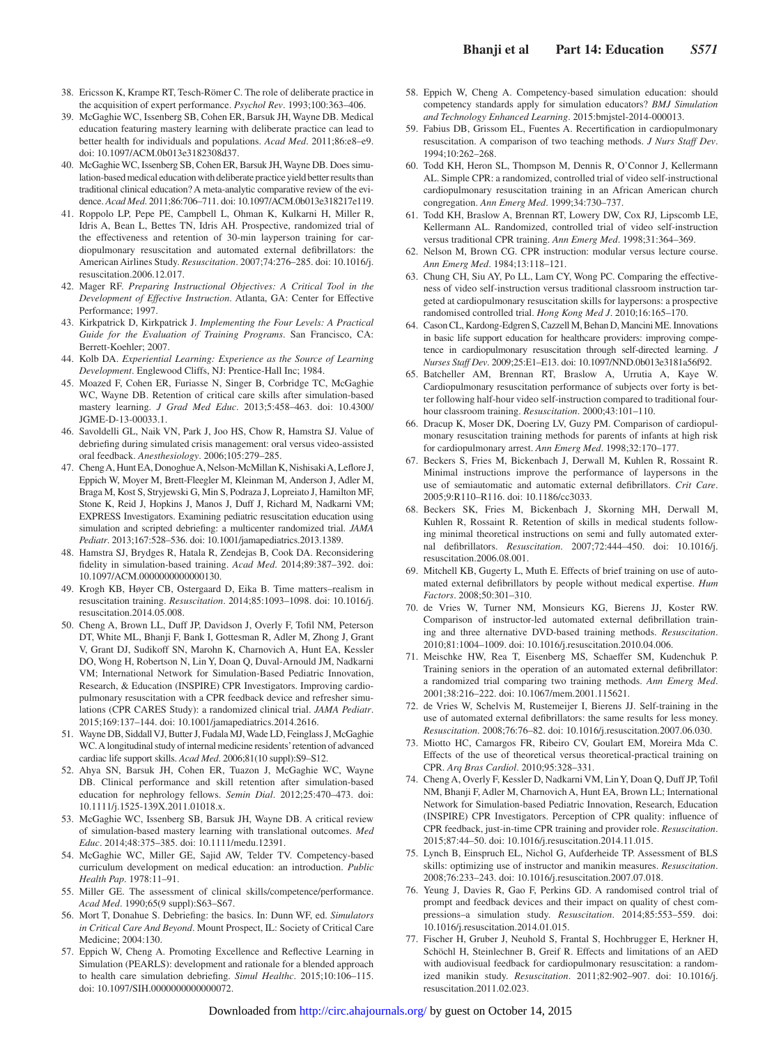- 38. Ericsson K, Krampe RT, Tesch-Römer C. The role of deliberate practice in the acquisition of expert performance. *Psychol Rev*. 1993;100:363–406.
- 39. McGaghie WC, Issenberg SB, Cohen ER, Barsuk JH, Wayne DB. Medical education featuring mastery learning with deliberate practice can lead to better health for individuals and populations. *Acad Med*. 2011;86:e8–e9. doi: 10.1097/ACM.0b013e3182308d37.
- 40. McGaghie WC, Issenberg SB, Cohen ER, Barsuk JH, Wayne DB. Does simulation-based medical education with deliberate practice yield better results than traditional clinical education? A meta-analytic comparative review of the evidence. *Acad Med*. 2011;86:706–711. doi: 10.1097/ACM.0b013e318217e119.
- 41. Roppolo LP, Pepe PE, Campbell L, Ohman K, Kulkarni H, Miller R, Idris A, Bean L, Bettes TN, Idris AH. Prospective, randomized trial of the effectiveness and retention of 30-min layperson training for cardiopulmonary resuscitation and automated external defibrillators: the American Airlines Study. *Resuscitation*. 2007;74:276–285. doi: 10.1016/j. resuscitation.2006.12.017.
- 42. Mager RF. *Preparing Instructional Objectives: A Critical Tool in the Development of Effective Instruction*. Atlanta, GA: Center for Effective Performance; 1997.
- 43. Kirkpatrick D, Kirkpatrick J. *Implementing the Four Levels: A Practical Guide for the Evaluation of Training Programs*. San Francisco, CA: Berrett-Koehler; 2007.
- 44. Kolb DA. *Experiential Learning: Experience as the Source of Learning Development*. Englewood Cliffs, NJ: Prentice-Hall Inc; 1984.
- 45. Moazed F, Cohen ER, Furiasse N, Singer B, Corbridge TC, McGaghie WC, Wayne DB. Retention of critical care skills after simulation-based mastery learning. *J Grad Med Educ*. 2013;5:458–463. doi: 10.4300/ JGME-D-13-00033.1.
- 46. Savoldelli GL, Naik VN, Park J, Joo HS, Chow R, Hamstra SJ. Value of debriefing during simulated crisis management: oral versus video-assisted oral feedback. *Anesthesiology*. 2006;105:279–285.
- 47. Cheng A, Hunt EA, Donoghue A, Nelson-McMillan K, Nishisaki A, Leflore J, Eppich W, Moyer M, Brett-Fleegler M, Kleinman M, Anderson J, Adler M, Braga M, Kost S, Stryjewski G, Min S, Podraza J, Lopreiato J, Hamilton MF, Stone K, Reid J, Hopkins J, Manos J, Duff J, Richard M, Nadkarni VM; EXPRESS Investigators. Examining pediatric resuscitation education using simulation and scripted debriefing: a multicenter randomized trial. *JAMA Pediatr*. 2013;167:528–536. doi: 10.1001/jamapediatrics.2013.1389.
- 48. Hamstra SJ, Brydges R, Hatala R, Zendejas B, Cook DA. Reconsidering fidelity in simulation-based training. *Acad Med*. 2014;89:387–392. doi: 10.1097/ACM.0000000000000130.
- 49. Krogh KB, Høyer CB, Ostergaard D, Eika B. Time matters–realism in resuscitation training. *Resuscitation*. 2014;85:1093–1098. doi: 10.1016/j. resuscitation.2014.05.008.
- 50. Cheng A, Brown LL, Duff JP, Davidson J, Overly F, Tofil NM, Peterson DT, White ML, Bhanji F, Bank I, Gottesman R, Adler M, Zhong J, Grant V, Grant DJ, Sudikoff SN, Marohn K, Charnovich A, Hunt EA, Kessler DO, Wong H, Robertson N, Lin Y, Doan Q, Duval-Arnould JM, Nadkarni VM; International Network for Simulation-Based Pediatric Innovation, Research, & Education (INSPIRE) CPR Investigators. Improving cardiopulmonary resuscitation with a CPR feedback device and refresher simulations (CPR CARES Study): a randomized clinical trial. *JAMA Pediatr*. 2015;169:137–144. doi: 10.1001/jamapediatrics.2014.2616.
- 51. Wayne DB, Siddall VJ, Butter J, Fudala MJ, Wade LD, Feinglass J, McGaghie WC. A longitudinal study of internal medicine residents' retention of advanced cardiac life support skills. *Acad Med*. 2006;81(10 suppl):S9–S12.
- 52. Ahya SN, Barsuk JH, Cohen ER, Tuazon J, McGaghie WC, Wayne DB. Clinical performance and skill retention after simulation-based education for nephrology fellows. *Semin Dial*. 2012;25:470–473. doi: 10.1111/j.1525-139X.2011.01018.x.
- 53. McGaghie WC, Issenberg SB, Barsuk JH, Wayne DB. A critical review of simulation-based mastery learning with translational outcomes. *Med Educ*. 2014;48:375–385. doi: 10.1111/medu.12391.
- 54. McGaghie WC, Miller GE, Sajid AW, Telder TV. Competency-based curriculum development on medical education: an introduction. *Public Health Pap*. 1978:11–91.
- 55. Miller GE. The assessment of clinical skills/competence/performance. *Acad Med*. 1990;65(9 suppl):S63–S67.
- 56. Mort T, Donahue S. Debriefing: the basics. In: Dunn WF, ed. *Simulators in Critical Care And Beyond*. Mount Prospect, IL: Society of Critical Care Medicine; 2004:130.
- 57. Eppich W, Cheng A. Promoting Excellence and Reflective Learning in Simulation (PEARLS): development and rationale for a blended approach to health care simulation debriefing. *Simul Healthc*. 2015;10:106–115. doi: 10.1097/SIH.0000000000000072.
- 58. Eppich W, Cheng A. Competency-based simulation education: should competency standards apply for simulation educators? *BMJ Simulation and Technology Enhanced Learning*. 2015:bmjstel-2014-000013.
- 59. Fabius DB, Grissom EL, Fuentes A. Recertification in cardiopulmonary resuscitation. A comparison of two teaching methods. *J Nurs Staff Dev*. 1994;10:262–268.
- 60. Todd KH, Heron SL, Thompson M, Dennis R, O'Connor J, Kellermann AL. Simple CPR: a randomized, controlled trial of video self-instructional cardiopulmonary resuscitation training in an African American church congregation. *Ann Emerg Med*. 1999;34:730–737.
- 61. Todd KH, Braslow A, Brennan RT, Lowery DW, Cox RJ, Lipscomb LE, Kellermann AL. Randomized, controlled trial of video self-instruction versus traditional CPR training. *Ann Emerg Med*. 1998;31:364–369.
- 62. Nelson M, Brown CG. CPR instruction: modular versus lecture course. *Ann Emerg Med*. 1984;13:118–121.
- 63. Chung CH, Siu AY, Po LL, Lam CY, Wong PC. Comparing the effectiveness of video self-instruction versus traditional classroom instruction targeted at cardiopulmonary resuscitation skills for laypersons: a prospective randomised controlled trial. *Hong Kong Med J*. 2010;16:165–170.
- 64. Cason CL, Kardong-Edgren S, Cazzell M, Behan D, Mancini ME. Innovations in basic life support education for healthcare providers: improving competence in cardiopulmonary resuscitation through self-directed learning. *J Nurses Staff Dev*. 2009;25:E1–E13. doi: 10.1097/NND.0b013e3181a56f92.
- 65. Batcheller AM, Brennan RT, Braslow A, Urrutia A, Kaye W. Cardiopulmonary resuscitation performance of subjects over forty is better following half-hour video self-instruction compared to traditional fourhour classroom training. *Resuscitation*. 2000;43:101–110.
- 66. Dracup K, Moser DK, Doering LV, Guzy PM. Comparison of cardiopulmonary resuscitation training methods for parents of infants at high risk for cardiopulmonary arrest. *Ann Emerg Med*. 1998;32:170–177.
- 67. Beckers S, Fries M, Bickenbach J, Derwall M, Kuhlen R, Rossaint R. Minimal instructions improve the performance of laypersons in the use of semiautomatic and automatic external defibrillators. *Crit Care*. 2005;9:R110–R116. doi: 10.1186/cc3033.
- 68. Beckers SK, Fries M, Bickenbach J, Skorning MH, Derwall M, Kuhlen R, Rossaint R. Retention of skills in medical students following minimal theoretical instructions on semi and fully automated external defibrillators. *Resuscitation*. 2007;72:444–450. doi: 10.1016/j. resuscitation.2006.08.001.
- 69. Mitchell KB, Gugerty L, Muth E. Effects of brief training on use of automated external defibrillators by people without medical expertise. *Hum Factors*. 2008;50:301–310.
- 70. de Vries W, Turner NM, Monsieurs KG, Bierens JJ, Koster RW. Comparison of instructor-led automated external defibrillation training and three alternative DVD-based training methods. *Resuscitation*. 2010;81:1004–1009. doi: 10.1016/j.resuscitation.2010.04.006.
- 71. Meischke HW, Rea T, Eisenberg MS, Schaeffer SM, Kudenchuk P. Training seniors in the operation of an automated external defibrillator: a randomized trial comparing two training methods. *Ann Emerg Med*. 2001;38:216–222. doi: 10.1067/mem.2001.115621.
- 72. de Vries W, Schelvis M, Rustemeijer I, Bierens JJ. Self-training in the use of automated external defibrillators: the same results for less money. *Resuscitation*. 2008;76:76–82. doi: 10.1016/j.resuscitation.2007.06.030.
- 73. Miotto HC, Camargos FR, Ribeiro CV, Goulart EM, Moreira Mda C. Effects of the use of theoretical versus theoretical-practical training on CPR. *Arq Bras Cardiol*. 2010;95:328–331.
- 74. Cheng A, Overly F, Kessler D, Nadkarni VM, Lin Y, Doan Q, Duff JP, Tofil NM, Bhanji F, Adler M, Charnovich A, Hunt EA, Brown LL; International Network for Simulation-based Pediatric Innovation, Research, Education (INSPIRE) CPR Investigators. Perception of CPR quality: influence of CPR feedback, just-in-time CPR training and provider role. *Resuscitation*. 2015;87:44–50. doi: 10.1016/j.resuscitation.2014.11.015.
- 75. Lynch B, Einspruch EL, Nichol G, Aufderheide TP. Assessment of BLS skills: optimizing use of instructor and manikin measures. *Resuscitation*. 2008;76:233–243. doi: 10.1016/j.resuscitation.2007.07.018.
- 76. Yeung J, Davies R, Gao F, Perkins GD. A randomised control trial of prompt and feedback devices and their impact on quality of chest compressions–a simulation study. *Resuscitation*. 2014;85:553–559. doi: 10.1016/j.resuscitation.2014.01.015.
- 77. Fischer H, Gruber J, Neuhold S, Frantal S, Hochbrugger E, Herkner H, Schöchl H, Steinlechner B, Greif R. Effects and limitations of an AED with audiovisual feedback for cardiopulmonary resuscitation: a randomized manikin study. *Resuscitation*. 2011;82:902–907. doi: 10.1016/j. resuscitation.2011.02.023.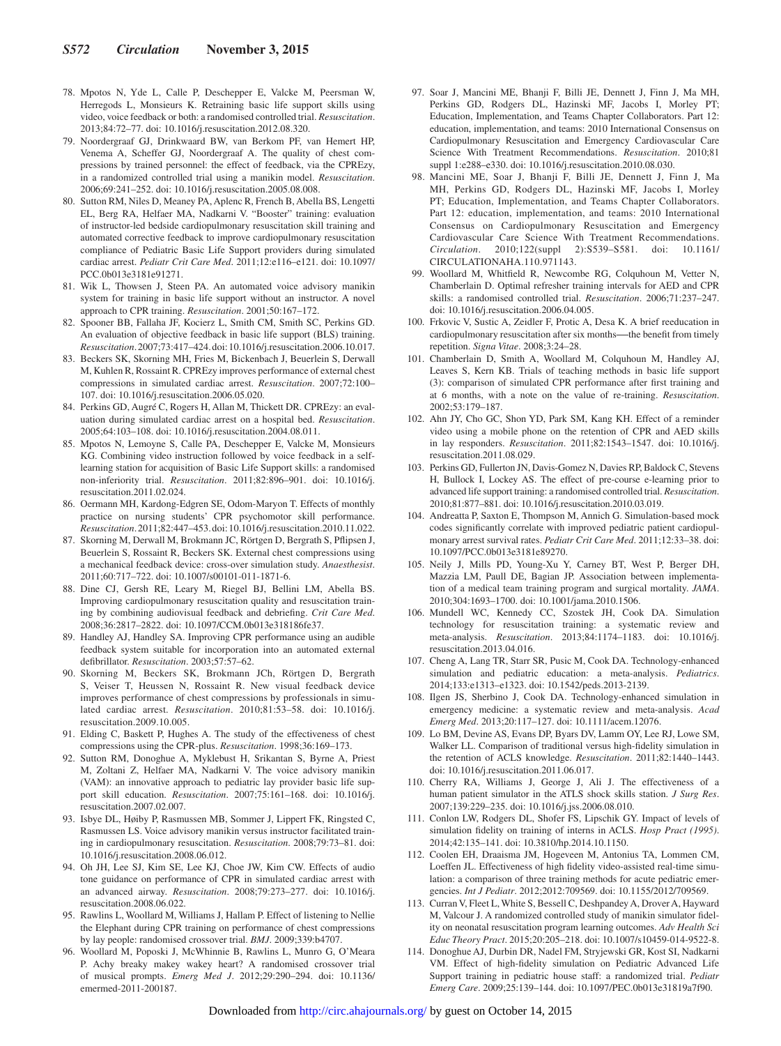- 78. Mpotos N, Yde L, Calle P, Deschepper E, Valcke M, Peersman W, Herregods L, Monsieurs K. Retraining basic life support skills using video, voice feedback or both: a randomised controlled trial. *Resuscitation*. 2013;84:72–77. doi: 10.1016/j.resuscitation.2012.08.320.
- 79. Noordergraaf GJ, Drinkwaard BW, van Berkom PF, van Hemert HP, Venema A, Scheffer GJ, Noordergraaf A. The quality of chest compressions by trained personnel: the effect of feedback, via the CPREzy, in a randomized controlled trial using a manikin model. *Resuscitation*. 2006;69:241–252. doi: 10.1016/j.resuscitation.2005.08.008.
- 80. Sutton RM, Niles D, Meaney PA, Aplenc R, French B, Abella BS, Lengetti EL, Berg RA, Helfaer MA, Nadkarni V. "Booster" training: evaluation of instructor-led bedside cardiopulmonary resuscitation skill training and automated corrective feedback to improve cardiopulmonary resuscitation compliance of Pediatric Basic Life Support providers during simulated cardiac arrest. *Pediatr Crit Care Med*. 2011;12:e116–e121. doi: 10.1097/ PCC.0b013e3181e91271.
- 81. Wik L, Thowsen J, Steen PA. An automated voice advisory manikin system for training in basic life support without an instructor. A novel approach to CPR training. *Resuscitation*. 2001;50:167–172.
- 82. Spooner BB, Fallaha JF, Kocierz L, Smith CM, Smith SC, Perkins GD. An evaluation of objective feedback in basic life support (BLS) training. *Resuscitation*. 2007;73:417–424. doi: 10.1016/j.resuscitation.2006.10.017.
- 83. Beckers SK, Skorning MH, Fries M, Bickenbach J, Beuerlein S, Derwall M, Kuhlen R, Rossaint R. CPREzy improves performance of external chest compressions in simulated cardiac arrest. *Resuscitation*. 2007;72:100– 107. doi: 10.1016/j.resuscitation.2006.05.020.
- 84. Perkins GD, Augré C, Rogers H, Allan M, Thickett DR. CPREzy: an evaluation during simulated cardiac arrest on a hospital bed. *Resuscitation*. 2005;64:103–108. doi: 10.1016/j.resuscitation.2004.08.011.
- 85. Mpotos N, Lemoyne S, Calle PA, Deschepper E, Valcke M, Monsieurs KG. Combining video instruction followed by voice feedback in a selflearning station for acquisition of Basic Life Support skills: a randomised non-inferiority trial. *Resuscitation*. 2011;82:896–901. doi: 10.1016/j. resuscitation.2011.02.024.
- 86. Oermann MH, Kardong-Edgren SE, Odom-Maryon T. Effects of monthly practice on nursing students' CPR psychomotor skill performance. *Resuscitation*. 2011;82:447–453. doi: 10.1016/j.resuscitation.2010.11.022.
- 87. Skorning M, Derwall M, Brokmann JC, Rörtgen D, Bergrath S, Pflipsen J, Beuerlein S, Rossaint R, Beckers SK. External chest compressions using a mechanical feedback device: cross-over simulation study. *Anaesthesist*. 2011;60:717–722. doi: 10.1007/s00101-011-1871-6.
- 88. Dine CJ, Gersh RE, Leary M, Riegel BJ, Bellini LM, Abella BS. Improving cardiopulmonary resuscitation quality and resuscitation training by combining audiovisual feedback and debriefing. *Crit Care Med*. 2008;36:2817–2822. doi: 10.1097/CCM.0b013e318186fe37.
- 89. Handley AJ, Handley SA. Improving CPR performance using an audible feedback system suitable for incorporation into an automated external defibrillator. *Resuscitation*. 2003;57:57–62.
- 90. Skorning M, Beckers SK, Brokmann JCh, Rörtgen D, Bergrath S, Veiser T, Heussen N, Rossaint R. New visual feedback device improves performance of chest compressions by professionals in simulated cardiac arrest. *Resuscitation*. 2010;81:53–58. doi: 10.1016/j. resuscitation.2009.10.005.
- 91. Elding C, Baskett P, Hughes A. The study of the effectiveness of chest compressions using the CPR-plus. *Resuscitation*. 1998;36:169–173.
- 92. Sutton RM, Donoghue A, Myklebust H, Srikantan S, Byrne A, Priest M, Zoltani Z, Helfaer MA, Nadkarni V. The voice advisory manikin (VAM): an innovative approach to pediatric lay provider basic life support skill education. *Resuscitation*. 2007;75:161–168. doi: 10.1016/j. resuscitation.2007.02.007.
- 93. Isbye DL, Høiby P, Rasmussen MB, Sommer J, Lippert FK, Ringsted C, Rasmussen LS. Voice advisory manikin versus instructor facilitated training in cardiopulmonary resuscitation. *Resuscitation*. 2008;79:73–81. doi: 10.1016/j.resuscitation.2008.06.012.
- 94. Oh JH, Lee SJ, Kim SE, Lee KJ, Choe JW, Kim CW. Effects of audio tone guidance on performance of CPR in simulated cardiac arrest with an advanced airway. *Resuscitation*. 2008;79:273–277. doi: 10.1016/j. resuscitation.2008.06.022.
- 95. Rawlins L, Woollard M, Williams J, Hallam P. Effect of listening to Nellie the Elephant during CPR training on performance of chest compressions by lay people: randomised crossover trial. *BMJ*. 2009;339:b4707.
- 96. Woollard M, Poposki J, McWhinnie B, Rawlins L, Munro G, O'Meara P. Achy breaky makey wakey heart? A randomised crossover trial of musical prompts. *Emerg Med J*. 2012;29:290–294. doi: 10.1136/ emermed-2011-200187.
- 97. Soar J, Mancini ME, Bhanji F, Billi JE, Dennett J, Finn J, Ma MH, Perkins GD, Rodgers DL, Hazinski MF, Jacobs I, Morley PT; Education, Implementation, and Teams Chapter Collaborators. Part 12: education, implementation, and teams: 2010 International Consensus on Cardiopulmonary Resuscitation and Emergency Cardiovascular Care Science With Treatment Recommendations. *Resuscitation*. 2010;81 suppl 1:e288–e330. doi: 10.1016/j.resuscitation.2010.08.030.
- 98. Mancini ME, Soar J, Bhanji F, Billi JE, Dennett J, Finn J, Ma MH, Perkins GD, Rodgers DL, Hazinski MF, Jacobs I, Morley PT; Education, Implementation, and Teams Chapter Collaborators. Part 12: education, implementation, and teams: 2010 International Consensus on Cardiopulmonary Resuscitation and Emergency Cardiovascular Care Science With Treatment Recommendations. *Circulation*. 2010;122(suppl 2):S539–S581. doi: 10.1161/ CIRCULATIONAHA.110.971143.
- 99. Woollard M, Whitfield R, Newcombe RG, Colquhoun M, Vetter N, Chamberlain D. Optimal refresher training intervals for AED and CPR skills: a randomised controlled trial. *Resuscitation*. 2006;71:237–247. doi: 10.1016/j.resuscitation.2006.04.005.
- 100. Frkovic V, Sustic A, Zeidler F, Protic A, Desa K. A brief reeducation in cardiopulmonary resuscitation after six months--- the benefit from timely repetition. *Signa Vitae*. 2008;3:24–28.
- 101. Chamberlain D, Smith A, Woollard M, Colquhoun M, Handley AJ, Leaves S, Kern KB. Trials of teaching methods in basic life support (3): comparison of simulated CPR performance after first training and at 6 months, with a note on the value of re-training. *Resuscitation*. 2002;53:179–187.
- 102. Ahn JY, Cho GC, Shon YD, Park SM, Kang KH. Effect of a reminder video using a mobile phone on the retention of CPR and AED skills in lay responders. *Resuscitation*. 2011;82:1543–1547. doi: 10.1016/j. resuscitation.2011.08.029.
- 103. Perkins GD, Fullerton JN, Davis-Gomez N, Davies RP, Baldock C, Stevens H, Bullock I, Lockey AS. The effect of pre-course e-learning prior to advanced life support training: a randomised controlled trial. *Resuscitation*. 2010;81:877–881. doi: 10.1016/j.resuscitation.2010.03.019.
- 104. Andreatta P, Saxton E, Thompson M, Annich G. Simulation-based mock codes significantly correlate with improved pediatric patient cardiopulmonary arrest survival rates. *Pediatr Crit Care Med*. 2011;12:33–38. doi: 10.1097/PCC.0b013e3181e89270.
- 105. Neily J, Mills PD, Young-Xu Y, Carney BT, West P, Berger DH, Mazzia LM, Paull DE, Bagian JP. Association between implementation of a medical team training program and surgical mortality. *JAMA*. 2010;304:1693–1700. doi: 10.1001/jama.2010.1506.
- 106. Mundell WC, Kennedy CC, Szostek JH, Cook DA. Simulation technology for resuscitation training: a systematic review and meta-analysis. *Resuscitation*. 2013;84:1174–1183. doi: 10.1016/j. resuscitation.2013.04.016.
- 107. Cheng A, Lang TR, Starr SR, Pusic M, Cook DA. Technology-enhanced simulation and pediatric education: a meta-analysis. *Pediatrics*. 2014;133:e1313–e1323. doi: 10.1542/peds.2013-2139.
- 108. Ilgen JS, Sherbino J, Cook DA. Technology-enhanced simulation in emergency medicine: a systematic review and meta-analysis. *Acad Emerg Med*. 2013;20:117–127. doi: 10.1111/acem.12076.
- 109. Lo BM, Devine AS, Evans DP, Byars DV, Lamm OY, Lee RJ, Lowe SM, Walker LL. Comparison of traditional versus high-fidelity simulation in the retention of ACLS knowledge. *Resuscitation*. 2011;82:1440–1443. doi: 10.1016/j.resuscitation.2011.06.017.
- 110. Cherry RA, Williams J, George J, Ali J. The effectiveness of a human patient simulator in the ATLS shock skills station. *J Surg Res*. 2007;139:229–235. doi: 10.1016/j.jss.2006.08.010.
- 111. Conlon LW, Rodgers DL, Shofer FS, Lipschik GY. Impact of levels of simulation fidelity on training of interns in ACLS. *Hosp Pract (1995)*. 2014;42:135–141. doi: 10.3810/hp.2014.10.1150.
- 112. Coolen EH, Draaisma JM, Hogeveen M, Antonius TA, Lommen CM, Loeffen JL. Effectiveness of high fidelity video-assisted real-time simulation: a comparison of three training methods for acute pediatric emergencies. *Int J Pediatr*. 2012;2012:709569. doi: 10.1155/2012/709569.
- 113. Curran V, Fleet L, White S, Bessell C, Deshpandey A, Drover A, Hayward M, Valcour J. A randomized controlled study of manikin simulator fidelity on neonatal resuscitation program learning outcomes. *Adv Health Sci Educ Theory Pract*. 2015;20:205–218. doi: 10.1007/s10459-014-9522-8.
- 114. Donoghue AJ, Durbin DR, Nadel FM, Stryjewski GR, Kost SI, Nadkarni VM. Effect of high-fidelity simulation on Pediatric Advanced Life Support training in pediatric house staff: a randomized trial. *Pediatr Emerg Care*. 2009;25:139–144. doi: 10.1097/PEC.0b013e31819a7f90.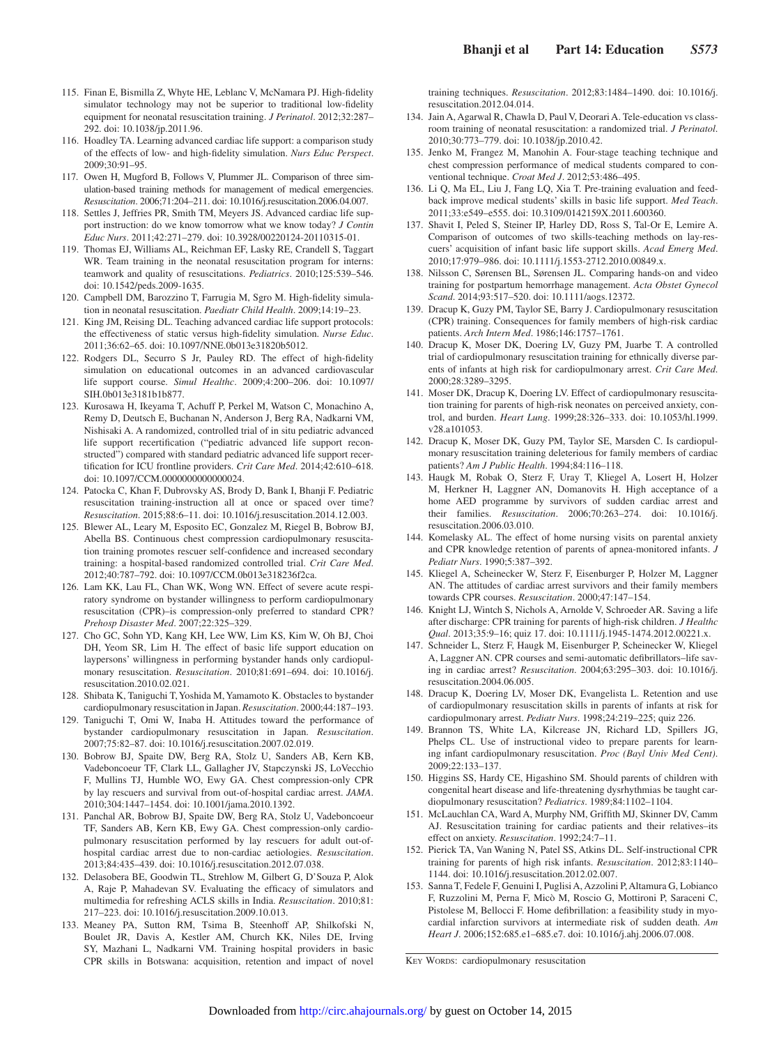- 115. Finan E, Bismilla Z, Whyte HE, Leblanc V, McNamara PJ. High-fidelity simulator technology may not be superior to traditional low-fidelity equipment for neonatal resuscitation training. *J Perinatol*. 2012;32:287– 292. doi: 10.1038/jp.2011.96.
- 116. Hoadley TA. Learning advanced cardiac life support: a comparison study of the effects of low- and high-fidelity simulation. *Nurs Educ Perspect*.  $2009.30.91 - 95$
- 117. Owen H, Mugford B, Follows V, Plummer JL. Comparison of three simulation-based training methods for management of medical emergencies. *Resuscitation*. 2006;71:204–211. doi: 10.1016/j.resuscitation.2006.04.007.
- 118. Settles J, Jeffries PR, Smith TM, Meyers JS. Advanced cardiac life support instruction: do we know tomorrow what we know today? *J Contin Educ Nurs*. 2011;42:271–279. doi: 10.3928/00220124-20110315-01.
- 119. Thomas EJ, Williams AL, Reichman EF, Lasky RE, Crandell S, Taggart WR. Team training in the neonatal resuscitation program for interns: teamwork and quality of resuscitations. *Pediatrics*. 2010;125:539–546. doi: 10.1542/peds.2009-1635.
- 120. Campbell DM, Barozzino T, Farrugia M, Sgro M. High-fidelity simulation in neonatal resuscitation. *Paediatr Child Health*. 2009;14:19–23.
- 121. King JM, Reising DL. Teaching advanced cardiac life support protocols: the effectiveness of static versus high-fidelity simulation. *Nurse Educ*. 2011;36:62–65. doi: 10.1097/NNE.0b013e31820b5012.
- 122. Rodgers DL, Securro S Jr, Pauley RD. The effect of high-fidelity simulation on educational outcomes in an advanced cardiovascular life support course. *Simul Healthc*. 2009;4:200–206. doi: 10.1097/ SIH.0b013e3181b1b877.
- 123. Kurosawa H, Ikeyama T, Achuff P, Perkel M, Watson C, Monachino A, Remy D, Deutsch E, Buchanan N, Anderson J, Berg RA, Nadkarni VM, Nishisaki A. A randomized, controlled trial of in situ pediatric advanced life support recertification ("pediatric advanced life support reconstructed") compared with standard pediatric advanced life support recertification for ICU frontline providers. *Crit Care Med*. 2014;42:610–618. doi: 10.1097/CCM.0000000000000024.
- 124. Patocka C, Khan F, Dubrovsky AS, Brody D, Bank I, Bhanji F. Pediatric resuscitation training-instruction all at once or spaced over time? *Resuscitation*. 2015;88:6–11. doi: 10.1016/j.resuscitation.2014.12.003.
- 125. Blewer AL, Leary M, Esposito EC, Gonzalez M, Riegel B, Bobrow BJ, Abella BS. Continuous chest compression cardiopulmonary resuscitation training promotes rescuer self-confidence and increased secondary training: a hospital-based randomized controlled trial. *Crit Care Med*. 2012;40:787–792. doi: 10.1097/CCM.0b013e318236f2ca.
- 126. Lam KK, Lau FL, Chan WK, Wong WN. Effect of severe acute respiratory syndrome on bystander willingness to perform cardiopulmonary resuscitation (CPR)–is compression-only preferred to standard CPR? *Prehosp Disaster Med*. 2007;22:325–329.
- 127. Cho GC, Sohn YD, Kang KH, Lee WW, Lim KS, Kim W, Oh BJ, Choi DH, Yeom SR, Lim H. The effect of basic life support education on laypersons' willingness in performing bystander hands only cardiopulmonary resuscitation. *Resuscitation*. 2010;81:691–694. doi: 10.1016/j. resuscitation.2010.02.021.
- 128. Shibata K, Taniguchi T, Yoshida M, Yamamoto K. Obstacles to bystander cardiopulmonary resuscitation in Japan. *Resuscitation*. 2000;44:187–193.
- 129. Taniguchi T, Omi W, Inaba H. Attitudes toward the performance of bystander cardiopulmonary resuscitation in Japan. *Resuscitation*. 2007;75:82–87. doi: 10.1016/j.resuscitation.2007.02.019.
- 130. Bobrow BJ, Spaite DW, Berg RA, Stolz U, Sanders AB, Kern KB, Vadeboncoeur TF, Clark LL, Gallagher JV, Stapczynski JS, LoVecchio F, Mullins TJ, Humble WO, Ewy GA. Chest compression-only CPR by lay rescuers and survival from out-of-hospital cardiac arrest. *JAMA*. 2010;304:1447–1454. doi: 10.1001/jama.2010.1392.
- 131. Panchal AR, Bobrow BJ, Spaite DW, Berg RA, Stolz U, Vadeboncoeur TF, Sanders AB, Kern KB, Ewy GA. Chest compression-only cardiopulmonary resuscitation performed by lay rescuers for adult out-ofhospital cardiac arrest due to non-cardiac aetiologies. *Resuscitation*. 2013;84:435–439. doi: 10.1016/j.resuscitation.2012.07.038.
- 132. Delasobera BE, Goodwin TL, Strehlow M, Gilbert G, D'Souza P, Alok A, Raje P, Mahadevan SV. Evaluating the efficacy of simulators and multimedia for refreshing ACLS skills in India. *Resuscitation*. 2010;81: 217–223. doi: 10.1016/j.resuscitation.2009.10.013.
- 133. Meaney PA, Sutton RM, Tsima B, Steenhoff AP, Shilkofski N, Boulet JR, Davis A, Kestler AM, Church KK, Niles DE, Irving SY, Mazhani L, Nadkarni VM. Training hospital providers in basic CPR skills in Botswana: acquisition, retention and impact of novel

training techniques. *Resuscitation*. 2012;83:1484–1490. doi: 10.1016/j. resuscitation.2012.04.014.

- 134. Jain A, Agarwal R, Chawla D, Paul V, Deorari A. Tele-education vs classroom training of neonatal resuscitation: a randomized trial. *J Perinatol*. 2010;30:773–779. doi: 10.1038/jp.2010.42.
- 135. Jenko M, Frangez M, Manohin A. Four-stage teaching technique and chest compression performance of medical students compared to conventional technique. *Croat Med J*. 2012;53:486–495.
- 136. Li Q, Ma EL, Liu J, Fang LQ, Xia T. Pre-training evaluation and feedback improve medical students' skills in basic life support. *Med Teach*. 2011;33:e549–e555. doi: 10.3109/0142159X.2011.600360.
- 137. Shavit I, Peled S, Steiner IP, Harley DD, Ross S, Tal-Or E, Lemire A. Comparison of outcomes of two skills-teaching methods on lay-rescuers' acquisition of infant basic life support skills. *Acad Emerg Med*. 2010;17:979–986. doi: 10.1111/j.1553-2712.2010.00849.x.
- 138. Nilsson C, Sørensen BL, Sørensen JL. Comparing hands-on and video training for postpartum hemorrhage management. *Acta Obstet Gynecol Scand*. 2014;93:517–520. doi: 10.1111/aogs.12372.
- 139. Dracup K, Guzy PM, Taylor SE, Barry J. Cardiopulmonary resuscitation (CPR) training. Consequences for family members of high-risk cardiac patients. *Arch Intern Med*. 1986;146:1757–1761.
- 140. Dracup K, Moser DK, Doering LV, Guzy PM, Juarbe T. A controlled trial of cardiopulmonary resuscitation training for ethnically diverse parents of infants at high risk for cardiopulmonary arrest. *Crit Care Med*. 2000;28:3289–3295.
- 141. Moser DK, Dracup K, Doering LV. Effect of cardiopulmonary resuscitation training for parents of high-risk neonates on perceived anxiety, control, and burden. *Heart Lung*. 1999;28:326–333. doi: 10.1053/hl.1999. v28.a101053.
- 142. Dracup K, Moser DK, Guzy PM, Taylor SE, Marsden C. Is cardiopulmonary resuscitation training deleterious for family members of cardiac patients? *Am J Public Health*. 1994;84:116–118.
- 143. Haugk M, Robak O, Sterz F, Uray T, Kliegel A, Losert H, Holzer M, Herkner H, Laggner AN, Domanovits H. High acceptance of a home AED programme by survivors of sudden cardiac arrest and their families. *Resuscitation*. 2006;70:263–274. doi: 10.1016/j. resuscitation.2006.03.010.
- 144. Komelasky AL. The effect of home nursing visits on parental anxiety and CPR knowledge retention of parents of apnea-monitored infants. *J Pediatr Nurs*. 1990;5:387–392.
- 145. Kliegel A, Scheinecker W, Sterz F, Eisenburger P, Holzer M, Laggner AN. The attitudes of cardiac arrest survivors and their family members towards CPR courses. *Resuscitation*. 2000;47:147–154.
- 146. Knight LJ, Wintch S, Nichols A, Arnolde V, Schroeder AR. Saving a life after discharge: CPR training for parents of high-risk children. *J Healthc Qual*. 2013;35:9–16; quiz 17. doi: 10.1111/j.1945-1474.2012.00221.x.
- 147. Schneider L, Sterz F, Haugk M, Eisenburger P, Scheinecker W, Kliegel A, Laggner AN. CPR courses and semi-automatic defibrillators–life saving in cardiac arrest? *Resuscitation*. 2004;63:295–303. doi: 10.1016/j. resuscitation.2004.06.005.
- 148. Dracup K, Doering LV, Moser DK, Evangelista L. Retention and use of cardiopulmonary resuscitation skills in parents of infants at risk for cardiopulmonary arrest. *Pediatr Nurs*. 1998;24:219–225; quiz 226.
- 149. Brannon TS, White LA, Kilcrease JN, Richard LD, Spillers JG, Phelps CL. Use of instructional video to prepare parents for learning infant cardiopulmonary resuscitation. *Proc (Bayl Univ Med Cent)*. 2009;22:133–137.
- 150. Higgins SS, Hardy CE, Higashino SM. Should parents of children with congenital heart disease and life-threatening dysrhythmias be taught cardiopulmonary resuscitation? *Pediatrics*. 1989;84:1102–1104.
- 151. McLauchlan CA, Ward A, Murphy NM, Griffith MJ, Skinner DV, Camm AJ. Resuscitation training for cardiac patients and their relatives–its effect on anxiety. *Resuscitation*. 1992;24:7–11.
- 152. Pierick TA, Van Waning N, Patel SS, Atkins DL. Self-instructional CPR training for parents of high risk infants. *Resuscitation*. 2012;83:1140– 1144. doi: 10.1016/j.resuscitation.2012.02.007.
- 153. Sanna T, Fedele F, Genuini I, Puglisi A, Azzolini P, Altamura G, Lobianco F, Ruzzolini M, Perna F, Micò M, Roscio G, Mottironi P, Saraceni C, Pistolese M, Bellocci F. Home defibrillation: a feasibility study in myocardial infarction survivors at intermediate risk of sudden death. *Am Heart J*. 2006;152:685.e1–685.e7. doi: 10.1016/j.ahj.2006.07.008.

KEY WORDS: cardiopulmonary resuscitation